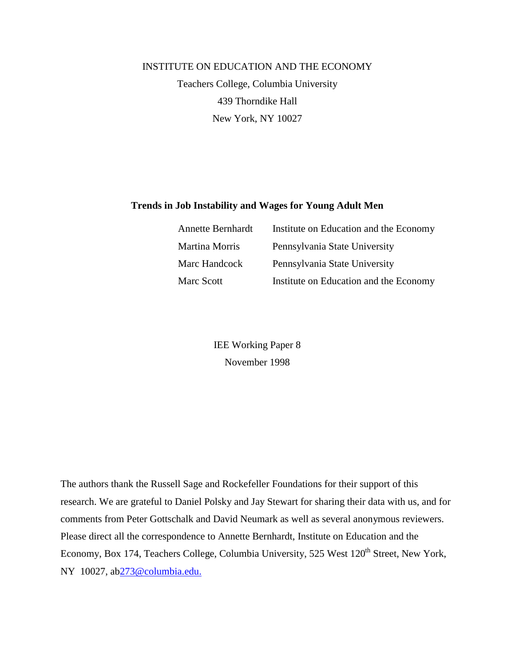# INSTITUTE ON EDUCATION AND THE ECONOMY Teachers College, Columbia University 439 Thorndike Hall New York, NY 10027

# **Trends in Job Instability and Wages for Young Adult Men**

| <b>Annette Bernhardt</b> | Institute on Education and the Economy |
|--------------------------|----------------------------------------|
| Martina Morris           | Pennsylvania State University          |
| Marc Handcock            | Pennsylvania State University          |
| Marc Scott               | Institute on Education and the Economy |

IEE Working Paper 8 November 1998

The authors thank the Russell Sage and Rockefeller Foundations for their support of this research. We are grateful to Daniel Polsky and Jay Stewart for sharing their data with us, and for comments from Peter Gottschalk and David Neumark as well as several anonymous reviewers. Please direct all the correspondence to Annette Bernhardt, Institute on Education and the Economy, Box 174, Teachers College, Columbia University, 525 West 120<sup>th</sup> Street, New York, NY 10027, ab273@columbia.edu.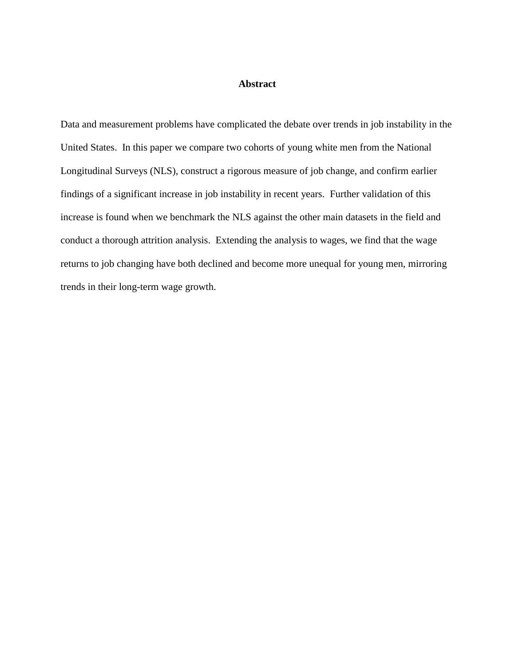## **Abstract**

Data and measurement problems have complicated the debate over trends in job instability in the United States. In this paper we compare two cohorts of young white men from the National Longitudinal Surveys (NLS), construct a rigorous measure of job change, and confirm earlier findings of a significant increase in job instability in recent years. Further validation of this increase is found when we benchmark the NLS against the other main datasets in the field and conduct a thorough attrition analysis. Extending the analysis to wages, we find that the wage returns to job changing have both declined and become more unequal for young men, mirroring trends in their long-term wage growth.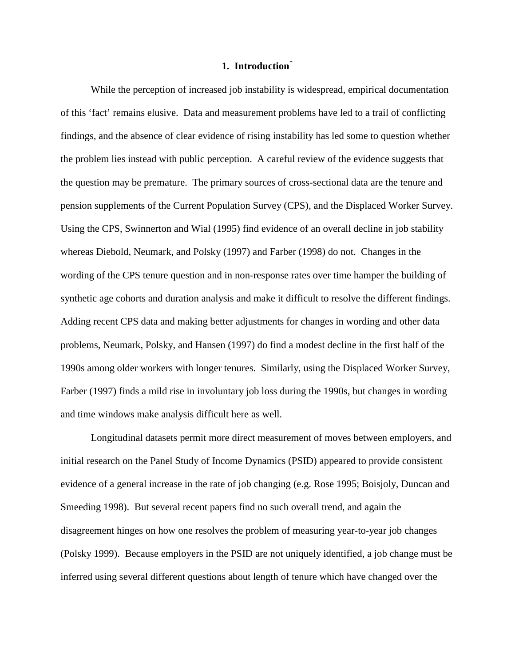## **1. Introduction**\*

While the perception of increased job instability is widespread, empirical documentation of this 'fact' remains elusive. Data and measurement problems have led to a trail of conflicting findings*,* and the absence of clear evidence of rising instability has led some to question whether the problem lies instead with public perception. A careful review of the evidence suggests that the question may be premature. The primary sources of cross-sectional data are the tenure and pension supplements of the Current Population Survey (CPS), and the Displaced Worker Survey. Using the CPS, Swinnerton and Wial (1995) find evidence of an overall decline in job stability whereas Diebold, Neumark, and Polsky (1997) and Farber (1998) do not. Changes in the wording of the CPS tenure question and in non-response rates over time hamper the building of synthetic age cohorts and duration analysis and make it difficult to resolve the different findings. Adding recent CPS data and making better adjustments for changes in wording and other data problems, Neumark, Polsky, and Hansen (1997) do find a modest decline in the first half of the 1990s among older workers with longer tenures. Similarly, using the Displaced Worker Survey, Farber (1997) finds a mild rise in involuntary job loss during the 1990s, but changes in wording and time windows make analysis difficult here as well.

Longitudinal datasets permit more direct measurement of moves between employers, and initial research on the Panel Study of Income Dynamics (PSID) appeared to provide consistent evidence of a general increase in the rate of job changing (e.g. Rose 1995; Boisjoly, Duncan and Smeeding 1998). But several recent papers find no such overall trend, and again the disagreement hinges on how one resolves the problem of measuring year-to-year job changes (Polsky 1999). Because employers in the PSID are not uniquely identified, a job change must be inferred using several different questions about length of tenure which have changed over the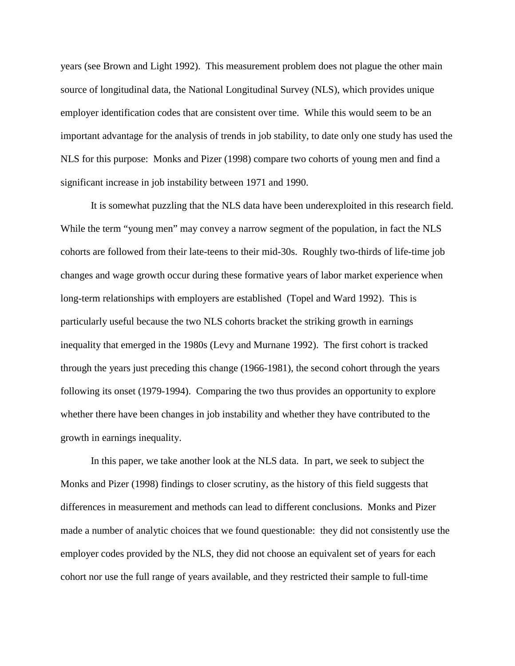years (see Brown and Light 1992). This measurement problem does not plague the other main source of longitudinal data, the National Longitudinal Survey (NLS), which provides unique employer identification codes that are consistent over time. While this would seem to be an important advantage for the analysis of trends in job stability, to date only one study has used the NLS for this purpose: Monks and Pizer (1998) compare two cohorts of young men and find a significant increase in job instability between 1971 and 1990.

It is somewhat puzzling that the NLS data have been underexploited in this research field. While the term "young men" may convey a narrow segment of the population, in fact the NLS cohorts are followed from their late-teens to their mid-30s. Roughly two-thirds of life-time job changes and wage growth occur during these formative years of labor market experience when long-term relationships with employers are established (Topel and Ward 1992). This is particularly useful because the two NLS cohorts bracket the striking growth in earnings inequality that emerged in the 1980s (Levy and Murnane 1992). The first cohort is tracked through the years just preceding this change (1966-1981), the second cohort through the years following its onset (1979-1994). Comparing the two thus provides an opportunity to explore whether there have been changes in job instability and whether they have contributed to the growth in earnings inequality.

In this paper, we take another look at the NLS data. In part, we seek to subject the Monks and Pizer (1998) findings to closer scrutiny, as the history of this field suggests that differences in measurement and methods can lead to different conclusions. Monks and Pizer made a number of analytic choices that we found questionable: they did not consistently use the employer codes provided by the NLS, they did not choose an equivalent set of years for each cohort nor use the full range of years available, and they restricted their sample to full-time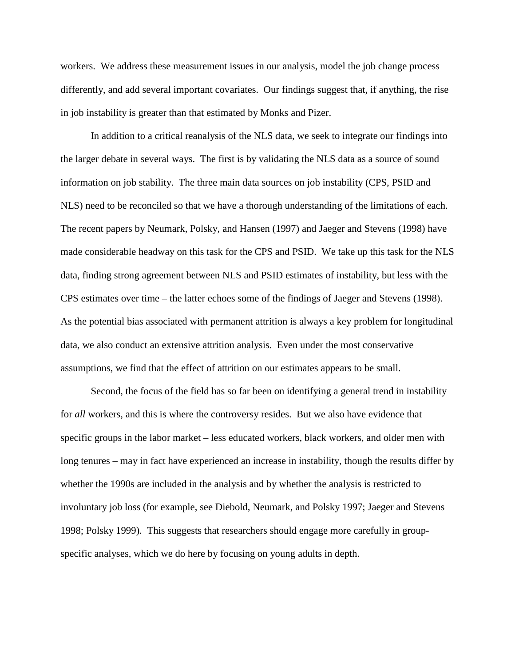workers. We address these measurement issues in our analysis, model the job change process differently, and add several important covariates. Our findings suggest that, if anything, the rise in job instability is greater than that estimated by Monks and Pizer.

In addition to a critical reanalysis of the NLS data, we seek to integrate our findings into the larger debate in several ways. The first is by validating the NLS data as a source of sound information on job stability. The three main data sources on job instability (CPS, PSID and NLS) need to be reconciled so that we have a thorough understanding of the limitations of each. The recent papers by Neumark, Polsky, and Hansen (1997) and Jaeger and Stevens (1998) have made considerable headway on this task for the CPS and PSID. We take up this task for the NLS data, finding strong agreement between NLS and PSID estimates of instability, but less with the CPS estimates over time – the latter echoes some of the findings of Jaeger and Stevens (1998). As the potential bias associated with permanent attrition is always a key problem for longitudinal data, we also conduct an extensive attrition analysis. Even under the most conservative assumptions, we find that the effect of attrition on our estimates appears to be small.

Second, the focus of the field has so far been on identifying a general trend in instability for *all* workers, and this is where the controversy resides. But we also have evidence that specific groups in the labor market – less educated workers, black workers, and older men with long tenures – may in fact have experienced an increase in instability, though the results differ by whether the 1990s are included in the analysis and by whether the analysis is restricted to involuntary job loss (for example, see Diebold, Neumark, and Polsky 1997; Jaeger and Stevens 1998; Polsky 1999)*.* This suggests that researchers should engage more carefully in groupspecific analyses, which we do here by focusing on young adults in depth.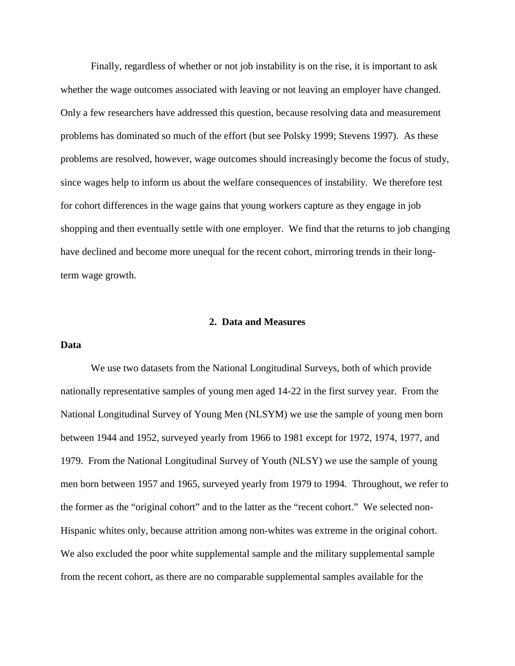Finally, regardless of whether or not job instability is on the rise, it is important to ask whether the wage outcomes associated with leaving or not leaving an employer have changed. Only a few researchers have addressed this question, because resolving data and measurement problems has dominated so much of the effort (but see Polsky 1999; Stevens 1997). As these problems are resolved, however, wage outcomes should increasingly become the focus of study, since wages help to inform us about the welfare consequences of instability. We therefore test for cohort differences in the wage gains that young workers capture as they engage in job shopping and then eventually settle with one employer. We find that the returns to job changing have declined and become more unequal for the recent cohort, mirroring trends in their longterm wage growth.

#### **2. Data and Measures**

#### **Data**

We use two datasets from the National Longitudinal Surveys, both of which provide nationally representative samples of young men aged 14-22 in the first survey year. From the National Longitudinal Survey of Young Men (NLSYM) we use the sample of young men born between 1944 and 1952, surveyed yearly from 1966 to 1981 except for 1972, 1974, 1977, and 1979. From the National Longitudinal Survey of Youth (NLSY) we use the sample of young men born between 1957 and 1965, surveyed yearly from 1979 to 1994. Throughout, we refer to the former as the "original cohort" and to the latter as the "recent cohort." We selected non-Hispanic whites only, because attrition among non-whites was extreme in the original cohort. We also excluded the poor white supplemental sample and the military supplemental sample from the recent cohort, as there are no comparable supplemental samples available for the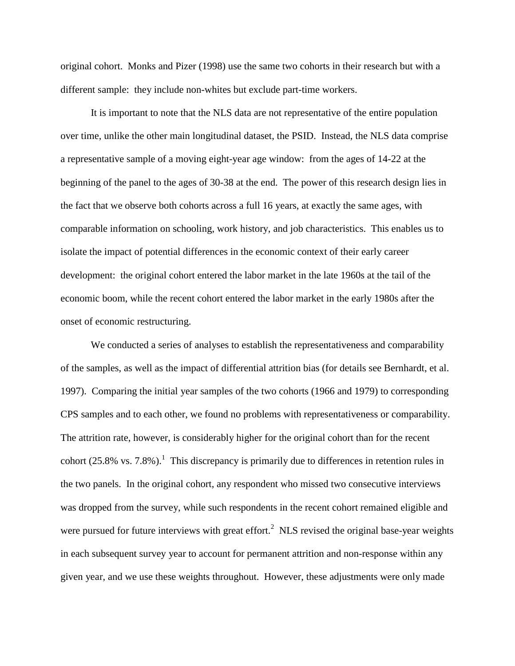original cohort. Monks and Pizer (1998) use the same two cohorts in their research but with a different sample: they include non-whites but exclude part-time workers.

It is important to note that the NLS data are not representative of the entire population over time, unlike the other main longitudinal dataset, the PSID. Instead, the NLS data comprise a representative sample of a moving eight-year age window: from the ages of 14-22 at the beginning of the panel to the ages of 30-38 at the end. The power of this research design lies in the fact that we observe both cohorts across a full 16 years, at exactly the same ages, with comparable information on schooling, work history, and job characteristics. This enables us to isolate the impact of potential differences in the economic context of their early career development: the original cohort entered the labor market in the late 1960s at the tail of the economic boom, while the recent cohort entered the labor market in the early 1980s after the onset of economic restructuring.

We conducted a series of analyses to establish the representativeness and comparability of the samples, as well as the impact of differential attrition bias (for details see Bernhardt, et al. 1997). Comparing the initial year samples of the two cohorts (1966 and 1979) to corresponding CPS samples and to each other, we found no problems with representativeness or comparability. The attrition rate, however, is considerably higher for the original cohort than for the recent cohort  $(25.8\% \text{ vs. } 7.8\%)$ . This discrepancy is primarily due to differences in retention rules in the two panels. In the original cohort, any respondent who missed two consecutive interviews was dropped from the survey, while such respondents in the recent cohort remained eligible and were pursued for future interviews with great effort.<sup>2</sup> NLS revised the original base-year weights in each subsequent survey year to account for permanent attrition and non-response within any given year, and we use these weights throughout. However, these adjustments were only made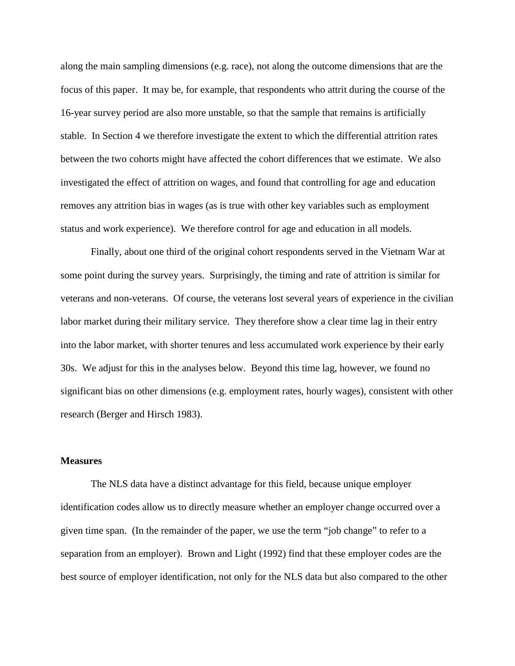along the main sampling dimensions (e.g. race), not along the outcome dimensions that are the focus of this paper. It may be, for example, that respondents who attrit during the course of the 16-year survey period are also more unstable, so that the sample that remains is artificially stable. In Section 4 we therefore investigate the extent to which the differential attrition rates between the two cohorts might have affected the cohort differences that we estimate. We also investigated the effect of attrition on wages, and found that controlling for age and education removes any attrition bias in wages (as is true with other key variables such as employment status and work experience). We therefore control for age and education in all models.

Finally, about one third of the original cohort respondents served in the Vietnam War at some point during the survey years. Surprisingly, the timing and rate of attrition is similar for veterans and non-veterans. Of course, the veterans lost several years of experience in the civilian labor market during their military service. They therefore show a clear time lag in their entry into the labor market, with shorter tenures and less accumulated work experience by their early 30s. We adjust for this in the analyses below. Beyond this time lag, however, we found no significant bias on other dimensions (e.g. employment rates, hourly wages), consistent with other research (Berger and Hirsch 1983).

#### **Measures**

The NLS data have a distinct advantage for this field, because unique employer identification codes allow us to directly measure whether an employer change occurred over a given time span. (In the remainder of the paper, we use the term "job change" to refer to a separation from an employer). Brown and Light (1992) find that these employer codes are the best source of employer identification, not only for the NLS data but also compared to the other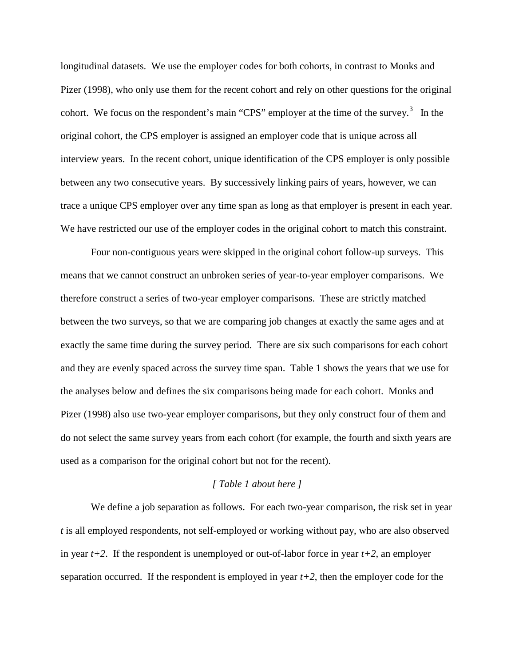longitudinal datasets. We use the employer codes for both cohorts, in contrast to Monks and Pizer (1998), who only use them for the recent cohort and rely on other questions for the original cohort. We focus on the respondent's main "CPS" employer at the time of the survey.<sup>3</sup> In the original cohort, the CPS employer is assigned an employer code that is unique across all interview years. In the recent cohort, unique identification of the CPS employer is only possible between any two consecutive years. By successively linking pairs of years, however, we can trace a unique CPS employer over any time span as long as that employer is present in each year. We have restricted our use of the employer codes in the original cohort to match this constraint.

Four non-contiguous years were skipped in the original cohort follow-up surveys. This means that we cannot construct an unbroken series of year-to-year employer comparisons. We therefore construct a series of two-year employer comparisons. These are strictly matched between the two surveys, so that we are comparing job changes at exactly the same ages and at exactly the same time during the survey period. There are six such comparisons for each cohort and they are evenly spaced across the survey time span. Table 1 shows the years that we use for the analyses below and defines the six comparisons being made for each cohort. Monks and Pizer (1998) also use two-year employer comparisons, but they only construct four of them and do not select the same survey years from each cohort (for example, the fourth and sixth years are used as a comparison for the original cohort but not for the recent).

#### *[ Table 1 about here ]*

We define a job separation as follows. For each two-year comparison, the risk set in year *t* is all employed respondents, not self-employed or working without pay, who are also observed in year  $t+2$ . If the respondent is unemployed or out-of-labor force in year  $t+2$ , an employer separation occurred. If the respondent is employed in year *t+2*, then the employer code for the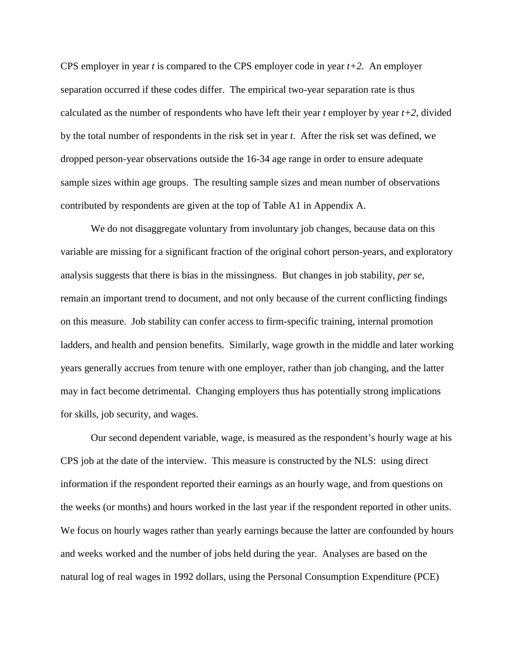CPS employer in year *t* is compared to the CPS employer code in year *t+2*. An employer separation occurred if these codes differ. The empirical two-year separation rate is thus calculated as the number of respondents who have left their year  $t$  employer by year  $t+2$ , divided by the total number of respondents in the risk set in year *t*. After the risk set was defined, we dropped person-year observations outside the 16-34 age range in order to ensure adequate sample sizes within age groups. The resulting sample sizes and mean number of observations contributed by respondents are given at the top of Table A1 in Appendix A.

We do not disaggregate voluntary from involuntary job changes, because data on this variable are missing for a significant fraction of the original cohort person-years, and exploratory analysis suggests that there is bias in the missingness. But changes in job stability, *per se*, remain an important trend to document, and not only because of the current conflicting findings on this measure. Job stability can confer access to firm-specific training, internal promotion ladders, and health and pension benefits. Similarly, wage growth in the middle and later working years generally accrues from tenure with one employer, rather than job changing, and the latter may in fact become detrimental. Changing employers thus has potentially strong implications for skills, job security, and wages.

Our second dependent variable, wage, is measured as the respondent's hourly wage at his CPS job at the date of the interview. This measure is constructed by the NLS: using direct information if the respondent reported their earnings as an hourly wage, and from questions on the weeks (or months) and hours worked in the last year if the respondent reported in other units. We focus on hourly wages rather than yearly earnings because the latter are confounded by hours and weeks worked and the number of jobs held during the year. Analyses are based on the natural log of real wages in 1992 dollars, using the Personal Consumption Expenditure (PCE)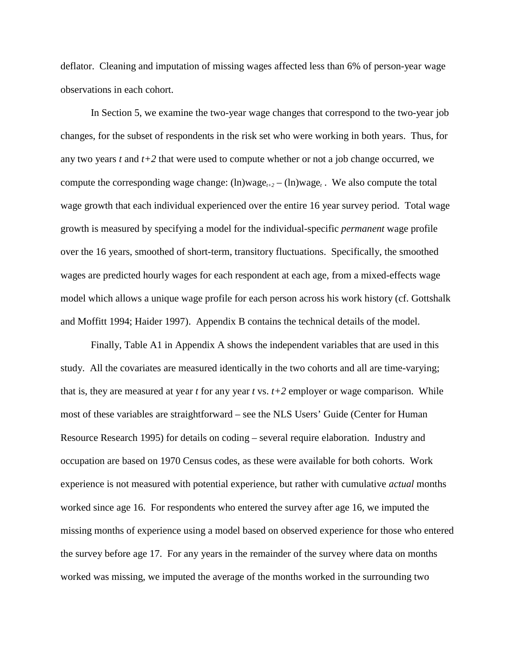deflator. Cleaning and imputation of missing wages affected less than 6% of person-year wage observations in each cohort.

In Section 5, we examine the two-year wage changes that correspond to the two-year job changes, for the subset of respondents in the risk set who were working in both years. Thus, for any two years *t* and *t+2* that were used to compute whether or not a job change occurred, we compute the corresponding wage change:  $(ln)$ wage<sub> $t+2$ </sub> –  $(ln)$ wage<sub> $t$ </sub>. We also compute the total wage growth that each individual experienced over the entire 16 year survey period. Total wage growth is measured by specifying a model for the individual-specific *permanent* wage profile over the 16 years, smoothed of short-term, transitory fluctuations. Specifically, the smoothed wages are predicted hourly wages for each respondent at each age, from a mixed-effects wage model which allows a unique wage profile for each person across his work history (cf. Gottshalk and Moffitt 1994; Haider 1997). Appendix B contains the technical details of the model.

Finally, Table A1 in Appendix A shows the independent variables that are used in this study. All the covariates are measured identically in the two cohorts and all are time-varying; that is, they are measured at year *t* for any year *t* vs. *t+2* employer or wage comparison. While most of these variables are straightforward – see the NLS Users' Guide (Center for Human Resource Research 1995) for details on coding – several require elaboration. Industry and occupation are based on 1970 Census codes, as these were available for both cohorts. Work experience is not measured with potential experience, but rather with cumulative *actual* months worked since age 16. For respondents who entered the survey after age 16, we imputed the missing months of experience using a model based on observed experience for those who entered the survey before age 17. For any years in the remainder of the survey where data on months worked was missing, we imputed the average of the months worked in the surrounding two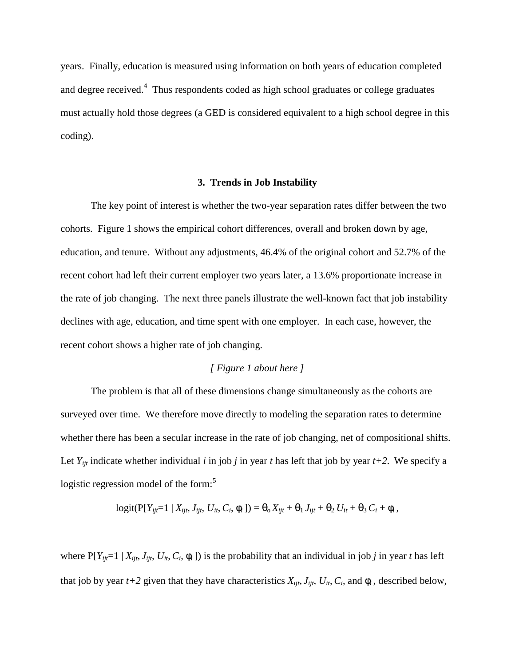years. Finally, education is measured using information on both years of education completed and degree received.<sup>4</sup> Thus respondents coded as high school graduates or college graduates must actually hold those degrees (a GED is considered equivalent to a high school degree in this coding).

#### **3. Trends in Job Instability**

The key point of interest is whether the two-year separation rates differ between the two cohorts. Figure 1 shows the empirical cohort differences, overall and broken down by age, education, and tenure. Without any adjustments, 46.4% of the original cohort and 52.7% of the recent cohort had left their current employer two years later, a 13.6% proportionate increase in the rate of job changing. The next three panels illustrate the well-known fact that job instability declines with age, education, and time spent with one employer. In each case, however, the recent cohort shows a higher rate of job changing.

# *[ Figure 1 about here ]*

The problem is that all of these dimensions change simultaneously as the cohorts are surveyed over time. We therefore move directly to modeling the separation rates to determine whether there has been a secular increase in the rate of job changing, net of compositional shifts. Let  $Y_{ijt}$  indicate whether individual *i* in job *j* in year *t* has left that job by year  $t+2$ . We specify a logistic regression model of the form:<sup>5</sup>

$$
logit(P[Y_{ij}=1 | X_{ijt}, J_{ijt}, U_{it}, C_i, \phi_i]) = \Theta_0 X_{ijt} + \Theta_1 J_{ijt} + \Theta_2 U_{it} + \Theta_3 C_i + \phi_i,
$$

where  $P[Y_{ij}=1 | X_{ij}$ ,  $J_{ij}$ ,  $U_i$ ,  $C_i$ ,  $\phi_i$  ]) is the probability that an individual in job *j* in year *t* has left that job by year  $t+2$  given that they have characteristics  $X_{ijt}$ ,  $J_{ijt}$ ,  $U_{it}$ ,  $C_i$ , and  $\phi_i$ , described below,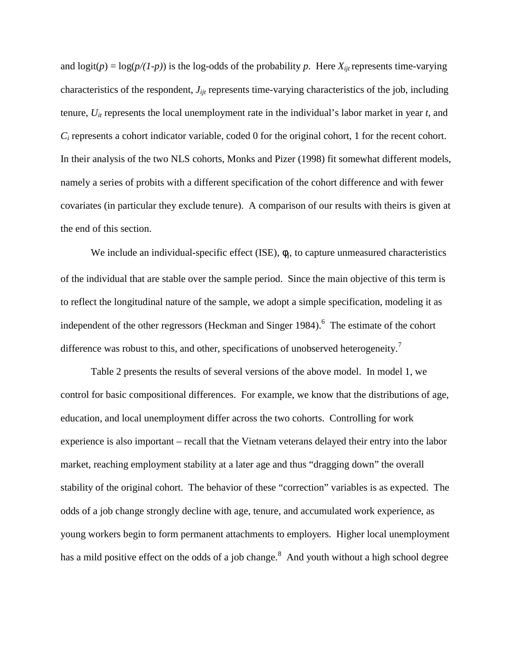and  $logit(p) = log(p/(1-p))$  is the log-odds of the probability *p*. Here  $X_{ijt}$  represents time-varying characteristics of the respondent, *Jijt* represents time-varying characteristics of the job, including tenure, *Uit* represents the local unemployment rate in the individual's labor market in year *t,* and *Ci* represents a cohort indicator variable, coded 0 for the original cohort, 1 for the recent cohort. In their analysis of the two NLS cohorts, Monks and Pizer (1998) fit somewhat different models, namely a series of probits with a different specification of the cohort difference and with fewer covariates (in particular they exclude tenure). A comparison of our results with theirs is given at the end of this section.

We include an individual-specific effect  $(ISE)$ ,  $\phi_i$ , to capture unmeasured characteristics of the individual that are stable over the sample period. Since the main objective of this term is to reflect the longitudinal nature of the sample, we adopt a simple specification, modeling it as independent of the other regressors (Heckman and Singer 1984).<sup>6</sup> The estimate of the cohort difference was robust to this, and other, specifications of unobserved heterogeneity.<sup>7</sup>

Table 2 presents the results of several versions of the above model. In model 1, we control for basic compositional differences. For example, we know that the distributions of age, education, and local unemployment differ across the two cohorts. Controlling for work experience is also important – recall that the Vietnam veterans delayed their entry into the labor market, reaching employment stability at a later age and thus "dragging down" the overall stability of the original cohort. The behavior of these "correction" variables is as expected. The odds of a job change strongly decline with age, tenure, and accumulated work experience, as young workers begin to form permanent attachments to employers. Higher local unemployment has a mild positive effect on the odds of a job change.<sup>8</sup> And youth without a high school degree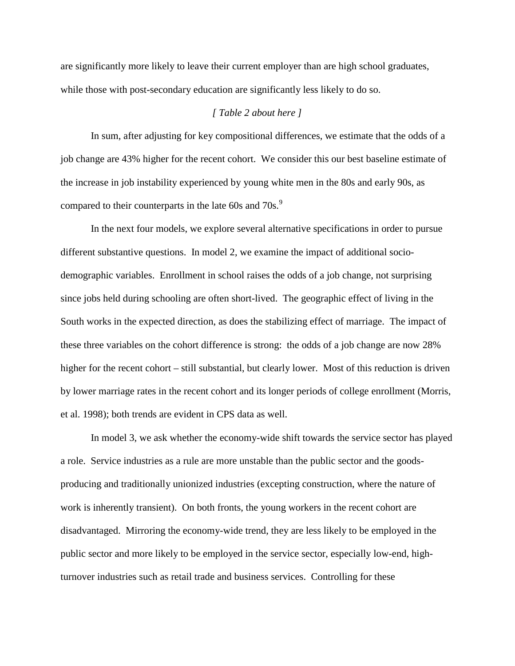are significantly more likely to leave their current employer than are high school graduates, while those with post-secondary education are significantly less likely to do so.

# *[ Table 2 about here ]*

In sum, after adjusting for key compositional differences, we estimate that the odds of a job change are 43% higher for the recent cohort. We consider this our best baseline estimate of the increase in job instability experienced by young white men in the 80s and early 90s, as compared to their counterparts in the late 60s and 70s.<sup>9</sup>

In the next four models, we explore several alternative specifications in order to pursue different substantive questions. In model 2, we examine the impact of additional sociodemographic variables. Enrollment in school raises the odds of a job change, not surprising since jobs held during schooling are often short-lived. The geographic effect of living in the South works in the expected direction, as does the stabilizing effect of marriage. The impact of these three variables on the cohort difference is strong: the odds of a job change are now 28% higher for the recent cohort – still substantial, but clearly lower. Most of this reduction is driven by lower marriage rates in the recent cohort and its longer periods of college enrollment (Morris, et al. 1998); both trends are evident in CPS data as well.

In model 3, we ask whether the economy-wide shift towards the service sector has played a role. Service industries as a rule are more unstable than the public sector and the goodsproducing and traditionally unionized industries (excepting construction, where the nature of work is inherently transient). On both fronts, the young workers in the recent cohort are disadvantaged. Mirroring the economy-wide trend, they are less likely to be employed in the public sector and more likely to be employed in the service sector, especially low-end, highturnover industries such as retail trade and business services. Controlling for these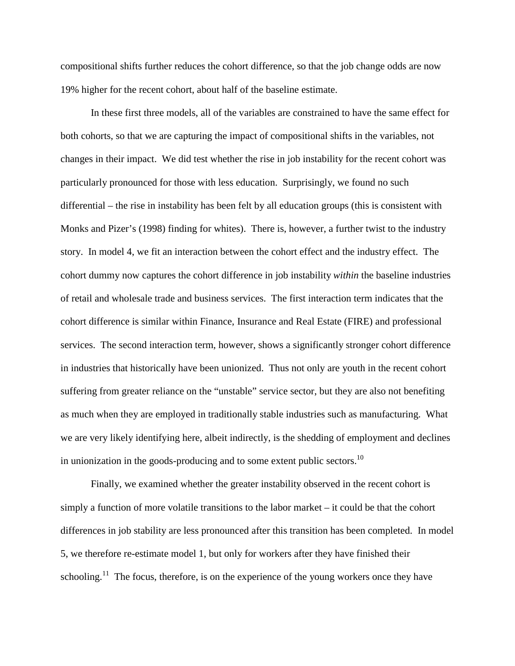compositional shifts further reduces the cohort difference, so that the job change odds are now 19% higher for the recent cohort, about half of the baseline estimate.

In these first three models, all of the variables are constrained to have the same effect for both cohorts, so that we are capturing the impact of compositional shifts in the variables, not changes in their impact. We did test whether the rise in job instability for the recent cohort was particularly pronounced for those with less education. Surprisingly, we found no such differential – the rise in instability has been felt by all education groups (this is consistent with Monks and Pizer's (1998) finding for whites). There is, however, a further twist to the industry story. In model 4, we fit an interaction between the cohort effect and the industry effect. The cohort dummy now captures the cohort difference in job instability *within* the baseline industries of retail and wholesale trade and business services. The first interaction term indicates that the cohort difference is similar within Finance, Insurance and Real Estate (FIRE) and professional services. The second interaction term, however, shows a significantly stronger cohort difference in industries that historically have been unionized. Thus not only are youth in the recent cohort suffering from greater reliance on the "unstable" service sector, but they are also not benefiting as much when they are employed in traditionally stable industries such as manufacturing. What we are very likely identifying here, albeit indirectly, is the shedding of employment and declines in unionization in the goods-producing and to some extent public sectors.<sup>10</sup>

Finally, we examined whether the greater instability observed in the recent cohort is simply a function of more volatile transitions to the labor market – it could be that the cohort differences in job stability are less pronounced after this transition has been completed. In model 5, we therefore re-estimate model 1, but only for workers after they have finished their schooling.<sup>11</sup> The focus, therefore, is on the experience of the young workers once they have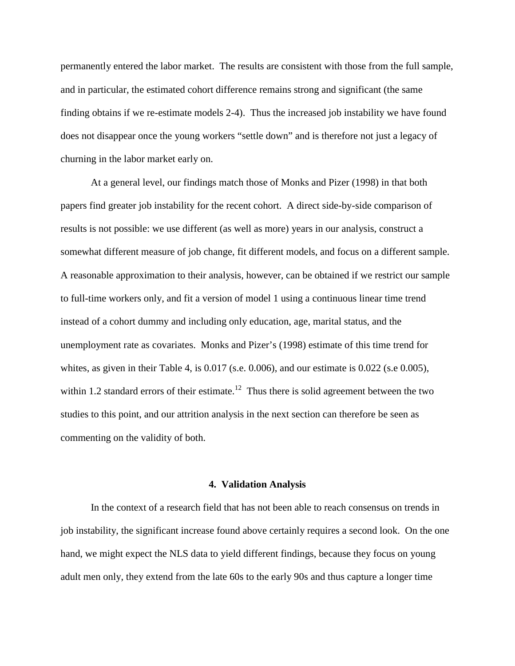permanently entered the labor market. The results are consistent with those from the full sample, and in particular, the estimated cohort difference remains strong and significant (the same finding obtains if we re-estimate models 2-4). Thus the increased job instability we have found does not disappear once the young workers "settle down" and is therefore not just a legacy of churning in the labor market early on.

At a general level, our findings match those of Monks and Pizer (1998) in that both papers find greater job instability for the recent cohort. A direct side-by-side comparison of results is not possible: we use different (as well as more) years in our analysis, construct a somewhat different measure of job change, fit different models, and focus on a different sample. A reasonable approximation to their analysis, however, can be obtained if we restrict our sample to full-time workers only, and fit a version of model 1 using a continuous linear time trend instead of a cohort dummy and including only education, age, marital status, and the unemployment rate as covariates. Monks and Pizer's (1998) estimate of this time trend for whites, as given in their Table 4, is 0.017 (s.e. 0.006), and our estimate is 0.022 (s.e 0.005), within 1.2 standard errors of their estimate.<sup>12</sup> Thus there is solid agreement between the two studies to this point, and our attrition analysis in the next section can therefore be seen as commenting on the validity of both.

#### **4. Validation Analysis**

In the context of a research field that has not been able to reach consensus on trends in job instability, the significant increase found above certainly requires a second look. On the one hand, we might expect the NLS data to yield different findings, because they focus on young adult men only, they extend from the late 60s to the early 90s and thus capture a longer time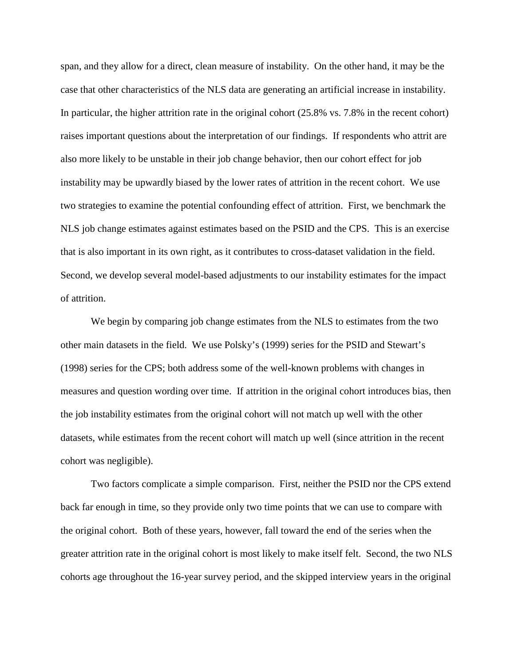span, and they allow for a direct, clean measure of instability. On the other hand, it may be the case that other characteristics of the NLS data are generating an artificial increase in instability. In particular, the higher attrition rate in the original cohort (25.8% vs. 7.8% in the recent cohort) raises important questions about the interpretation of our findings. If respondents who attrit are also more likely to be unstable in their job change behavior, then our cohort effect for job instability may be upwardly biased by the lower rates of attrition in the recent cohort. We use two strategies to examine the potential confounding effect of attrition. First, we benchmark the NLS job change estimates against estimates based on the PSID and the CPS. This is an exercise that is also important in its own right, as it contributes to cross-dataset validation in the field. Second, we develop several model-based adjustments to our instability estimates for the impact of attrition.

We begin by comparing job change estimates from the NLS to estimates from the two other main datasets in the field. We use Polsky's (1999) series for the PSID and Stewart's (1998) series for the CPS; both address some of the well-known problems with changes in measures and question wording over time. If attrition in the original cohort introduces bias, then the job instability estimates from the original cohort will not match up well with the other datasets, while estimates from the recent cohort will match up well (since attrition in the recent cohort was negligible).

Two factors complicate a simple comparison. First, neither the PSID nor the CPS extend back far enough in time, so they provide only two time points that we can use to compare with the original cohort. Both of these years, however, fall toward the end of the series when the greater attrition rate in the original cohort is most likely to make itself felt. Second, the two NLS cohorts age throughout the 16-year survey period, and the skipped interview years in the original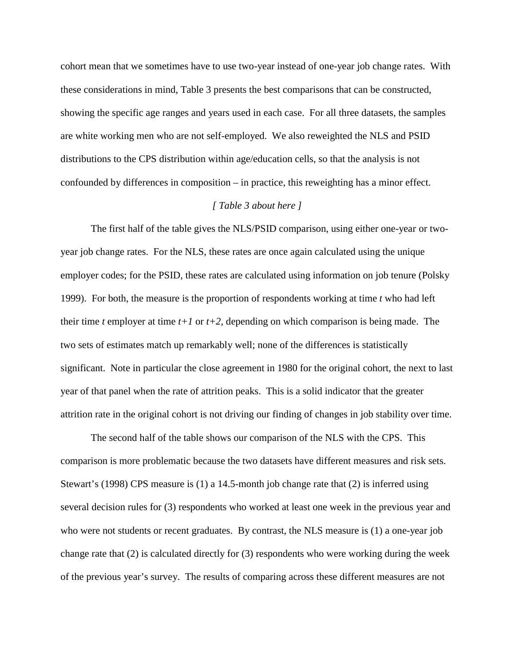cohort mean that we sometimes have to use two-year instead of one-year job change rates. With these considerations in mind, Table 3 presents the best comparisons that can be constructed, showing the specific age ranges and years used in each case. For all three datasets, the samples are white working men who are not self-employed. We also reweighted the NLS and PSID distributions to the CPS distribution within age/education cells, so that the analysis is not confounded by differences in composition – in practice, this reweighting has a minor effect.

### *[ Table 3 about here ]*

The first half of the table gives the NLS/PSID comparison, using either one-year or twoyear job change rates. For the NLS, these rates are once again calculated using the unique employer codes; for the PSID, these rates are calculated using information on job tenure (Polsky 1999). For both, the measure is the proportion of respondents working at time *t* who had left their time *t* employer at time  $t+1$  or  $t+2$ , depending on which comparison is being made. The two sets of estimates match up remarkably well; none of the differences is statistically significant. Note in particular the close agreement in 1980 for the original cohort, the next to last year of that panel when the rate of attrition peaks. This is a solid indicator that the greater attrition rate in the original cohort is not driving our finding of changes in job stability over time.

The second half of the table shows our comparison of the NLS with the CPS. This comparison is more problematic because the two datasets have different measures and risk sets. Stewart's (1998) CPS measure is (1) a 14.5-month job change rate that (2) is inferred using several decision rules for (3) respondents who worked at least one week in the previous year and who were not students or recent graduates. By contrast, the NLS measure is (1) a one-year job change rate that (2) is calculated directly for (3) respondents who were working during the week of the previous year's survey. The results of comparing across these different measures are not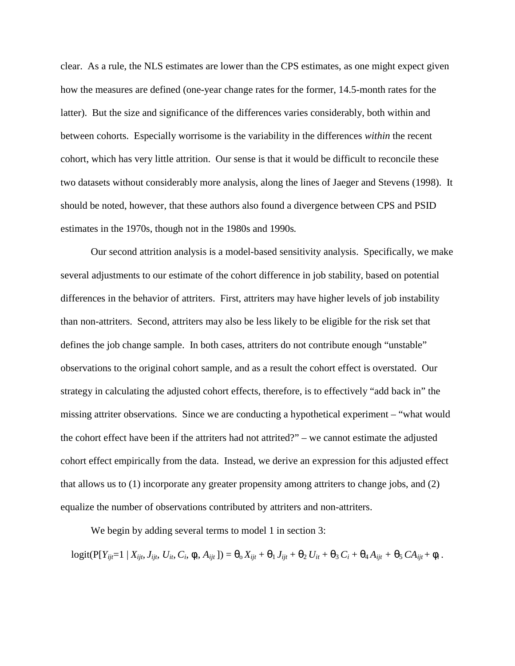clear. As a rule, the NLS estimates are lower than the CPS estimates, as one might expect given how the measures are defined (one-year change rates for the former, 14.5-month rates for the latter). But the size and significance of the differences varies considerably, both within and between cohorts. Especially worrisome is the variability in the differences *within* the recent cohort, which has very little attrition. Our sense is that it would be difficult to reconcile these two datasets without considerably more analysis, along the lines of Jaeger and Stevens (1998). It should be noted, however, that these authors also found a divergence between CPS and PSID estimates in the 1970s, though not in the 1980s and 1990s*.*

Our second attrition analysis is a model-based sensitivity analysis. Specifically, we make several adjustments to our estimate of the cohort difference in job stability, based on potential differences in the behavior of attriters. First, attriters may have higher levels of job instability than non-attriters. Second, attriters may also be less likely to be eligible for the risk set that defines the job change sample. In both cases, attriters do not contribute enough "unstable" observations to the original cohort sample, and as a result the cohort effect is overstated. Our strategy in calculating the adjusted cohort effects, therefore, is to effectively "add back in" the missing attriter observations. Since we are conducting a hypothetical experiment – "what would the cohort effect have been if the attriters had not attrited?" – we cannot estimate the adjusted cohort effect empirically from the data. Instead, we derive an expression for this adjusted effect that allows us to (1) incorporate any greater propensity among attriters to change jobs, and (2) equalize the number of observations contributed by attriters and non-attriters.

We begin by adding several terms to model 1 in section 3:

 $\logit(P[Y_{ijt}=1 | X_{ijt}, J_{ijt}, U_{it}, C_i, \phi_i, A_{ijt}]) = \theta_0 X_{ijt} + \theta_1 J_{ijt} + \theta_2 U_{it} + \theta_3 C_i + \theta_4 A_{ijt} + \theta_5 C A_{ijt} + \phi_i$ .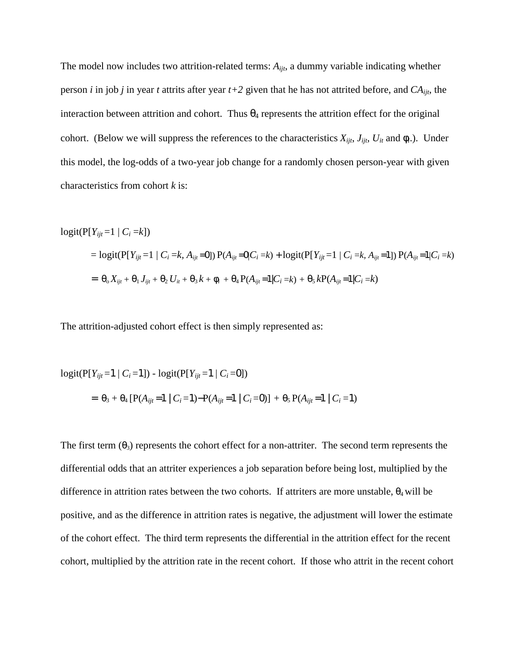The model now includes two attrition-related terms: *Aijt*, a dummy variable indicating whether person *i* in job *j* in year *t* attrits after year  $t+2$  given that he has not attrited before, and  $CA_{ijt}$ , the interaction between attrition and cohort. Thus  $\theta_4$  represents the attrition effect for the original cohort. (Below we will suppress the references to the characteristics  $X_{ijt}$ ,  $J_{ijt}$ ,  $U_{it}$  and  $\phi_i$ .). Under this model, the log-odds of a two-year job change for a randomly chosen person-year with given characteristics from cohort *k* is:

$$
logit(P[Y_{ijt} = 1 | C_i = k])
$$
  
= logit(P[Y\_{ijt} = 1 | C\_i = k, A\_{ijt} = 0]) P(A\_{ijt} = 0|C\_i = k) + logit(P[Y\_{ijt} = 1 | C\_i = k, A\_{ijt} = 1]) P(A\_{ijt} = 1|C\_i = k)  
=  $\theta_0 X_{ijt} + \theta_1 J_{ijt} + \theta_2 U_{it} + \theta_3 k + \phi_i + \theta_4 P(A_{ijt} = 1|C_i = k) + \theta_5 k P(A_{ijt} = 1|C_i = k)$ 

The attrition-adjusted cohort effect is then simply represented as:

$$
logit(P[Y_{ijt} = 1 | C_i = 1]) - logit(P[Y_{ijt} = 1 | C_i = 0])
$$
  
=  $\theta_3 + \theta_4 [P(A_{ijt} = 1 | C_i = 1) - P(A_{ijt} = 1 | C_i = 0)] + \theta_5 P(A_{ijt} = 1 | C_i = 1)$ 

The first term  $(\theta_3)$  represents the cohort effect for a non-attriter. The second term represents the differential odds that an attriter experiences a job separation before being lost, multiplied by the difference in attrition rates between the two cohorts. If attriters are more unstable,  $\theta_4$  will be positive, and as the difference in attrition rates is negative, the adjustment will lower the estimate of the cohort effect. The third term represents the differential in the attrition effect for the recent cohort, multiplied by the attrition rate in the recent cohort. If those who attrit in the recent cohort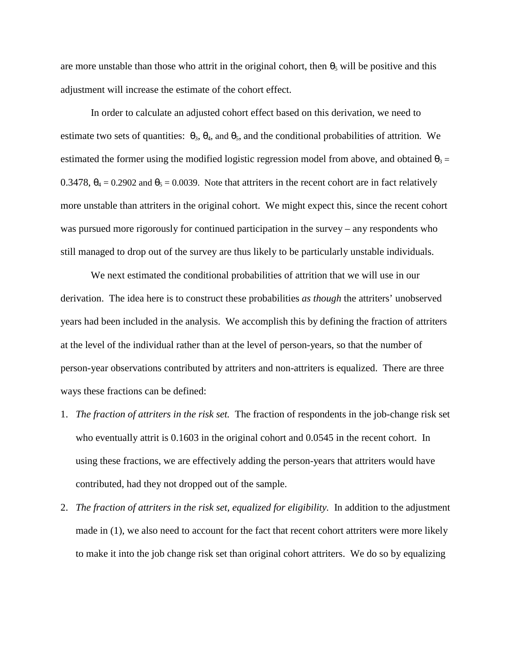are more unstable than those who attrit in the original cohort, then  $\theta_5$  will be positive and this adjustment will increase the estimate of the cohort effect.

In order to calculate an adjusted cohort effect based on this derivation, we need to estimate two sets of quantities:  $\theta_3$ ,  $\theta_4$ , and  $\theta_5$ , and the conditional probabilities of attrition. We estimated the former using the modified logistic regression model from above, and obtained  $\theta_3 =$ 0.3478,  $\theta_4 = 0.2902$  and  $\theta_5 = 0.0039$ . Note that attriters in the recent cohort are in fact relatively more unstable than attriters in the original cohort. We might expect this, since the recent cohort was pursued more rigorously for continued participation in the survey – any respondents who still managed to drop out of the survey are thus likely to be particularly unstable individuals.

We next estimated the conditional probabilities of attrition that we will use in our derivation. The idea here is to construct these probabilities *as though* the attriters' unobserved years had been included in the analysis. We accomplish this by defining the fraction of attriters at the level of the individual rather than at the level of person-years, so that the number of person-year observations contributed by attriters and non-attriters is equalized. There are three ways these fractions can be defined:

- 1. *The fraction of attriters in the risk set.* The fraction of respondents in the job-change risk set who eventually attrit is 0.1603 in the original cohort and 0.0545 in the recent cohort. In using these fractions, we are effectively adding the person-years that attriters would have contributed, had they not dropped out of the sample.
- 2. *The fraction of attriters in the risk set, equalized for eligibility.* In addition to the adjustment made in (1), we also need to account for the fact that recent cohort attriters were more likely to make it into the job change risk set than original cohort attriters. We do so by equalizing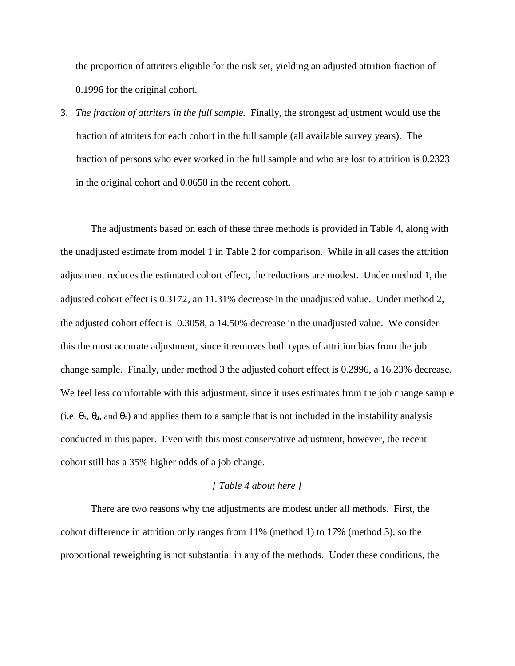the proportion of attriters eligible for the risk set, yielding an adjusted attrition fraction of 0.1996 for the original cohort.

3. *The fraction of attriters in the full sample.* Finally, the strongest adjustment would use the fraction of attriters for each cohort in the full sample (all available survey years). The fraction of persons who ever worked in the full sample and who are lost to attrition is 0.2323 in the original cohort and 0.0658 in the recent cohort.

The adjustments based on each of these three methods is provided in Table 4, along with the unadjusted estimate from model 1 in Table 2 for comparison. While in all cases the attrition adjustment reduces the estimated cohort effect, the reductions are modest. Under method 1, the adjusted cohort effect is 0.3172, an 11.31% decrease in the unadjusted value. Under method 2, the adjusted cohort effect is 0.3058, a 14.50% decrease in the unadjusted value. We consider this the most accurate adjustment, since it removes both types of attrition bias from the job change sample. Finally, under method 3 the adjusted cohort effect is 0.2996, a 16.23% decrease. We feel less comfortable with this adjustment, since it uses estimates from the job change sample (i.e.  $\theta_3$ ,  $\theta_4$ , and  $\theta_5$ ) and applies them to a sample that is not included in the instability analysis conducted in this paper. Even with this most conservative adjustment, however, the recent cohort still has a 35% higher odds of a job change.

## *[ Table 4 about here ]*

There are two reasons why the adjustments are modest under all methods. First, the cohort difference in attrition only ranges from 11% (method 1) to 17% (method 3), so the proportional reweighting is not substantial in any of the methods. Under these conditions, the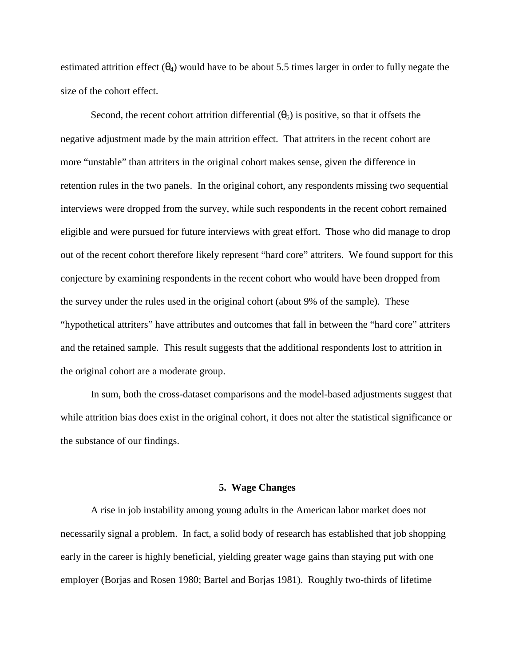estimated attrition effect  $(\theta_4)$  would have to be about 5.5 times larger in order to fully negate the size of the cohort effect.

Second, the recent cohort attrition differential  $(\theta_5)$  is positive, so that it offsets the negative adjustment made by the main attrition effect. That attriters in the recent cohort are more "unstable" than attriters in the original cohort makes sense, given the difference in retention rules in the two panels. In the original cohort, any respondents missing two sequential interviews were dropped from the survey, while such respondents in the recent cohort remained eligible and were pursued for future interviews with great effort. Those who did manage to drop out of the recent cohort therefore likely represent "hard core" attriters. We found support for this conjecture by examining respondents in the recent cohort who would have been dropped from the survey under the rules used in the original cohort (about 9% of the sample). These "hypothetical attriters" have attributes and outcomes that fall in between the "hard core" attriters and the retained sample. This result suggests that the additional respondents lost to attrition in the original cohort are a moderate group.

In sum, both the cross-dataset comparisons and the model-based adjustments suggest that while attrition bias does exist in the original cohort, it does not alter the statistical significance or the substance of our findings.

## **5. Wage Changes**

A rise in job instability among young adults in the American labor market does not necessarily signal a problem. In fact, a solid body of research has established that job shopping early in the career is highly beneficial, yielding greater wage gains than staying put with one employer (Borjas and Rosen 1980; Bartel and Borjas 1981). Roughly two-thirds of lifetime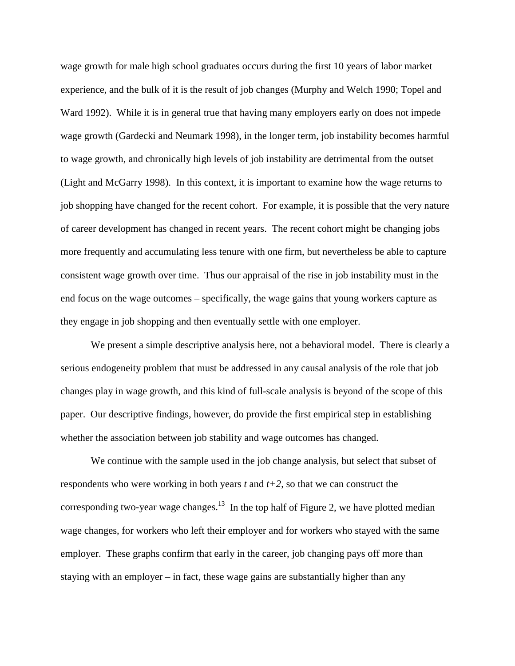wage growth for male high school graduates occurs during the first 10 years of labor market experience, and the bulk of it is the result of job changes (Murphy and Welch 1990; Topel and Ward 1992). While it is in general true that having many employers early on does not impede wage growth (Gardecki and Neumark 1998), in the longer term, job instability becomes harmful to wage growth, and chronically high levels of job instability are detrimental from the outset (Light and McGarry 1998). In this context, it is important to examine how the wage returns to job shopping have changed for the recent cohort. For example, it is possible that the very nature of career development has changed in recent years. The recent cohort might be changing jobs more frequently and accumulating less tenure with one firm, but nevertheless be able to capture consistent wage growth over time. Thus our appraisal of the rise in job instability must in the end focus on the wage outcomes – specifically, the wage gains that young workers capture as they engage in job shopping and then eventually settle with one employer.

We present a simple descriptive analysis here, not a behavioral model. There is clearly a serious endogeneity problem that must be addressed in any causal analysis of the role that job changes play in wage growth, and this kind of full-scale analysis is beyond of the scope of this paper. Our descriptive findings, however, do provide the first empirical step in establishing whether the association between job stability and wage outcomes has changed.

We continue with the sample used in the job change analysis, but select that subset of respondents who were working in both years *t* and *t+2*, so that we can construct the corresponding two-year wage changes.<sup>13</sup> In the top half of Figure 2, we have plotted median wage changes, for workers who left their employer and for workers who stayed with the same employer. These graphs confirm that early in the career, job changing pays off more than staying with an employer – in fact, these wage gains are substantially higher than any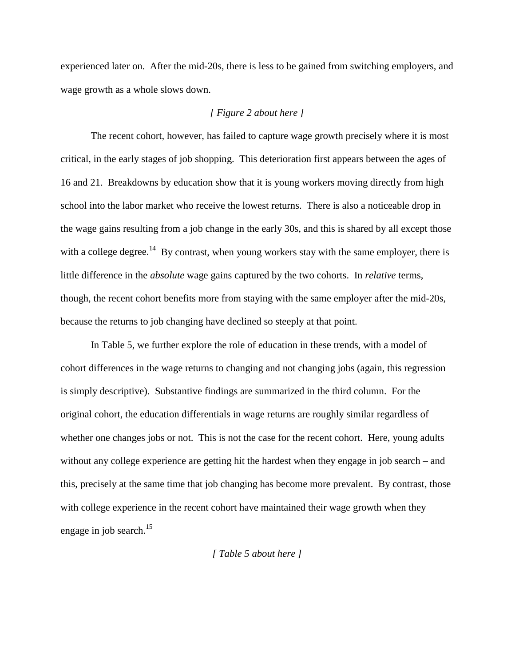experienced later on. After the mid-20s, there is less to be gained from switching employers, and wage growth as a whole slows down.

# *[ Figure 2 about here ]*

The recent cohort, however, has failed to capture wage growth precisely where it is most critical, in the early stages of job shopping. This deterioration first appears between the ages of 16 and 21. Breakdowns by education show that it is young workers moving directly from high school into the labor market who receive the lowest returns. There is also a noticeable drop in the wage gains resulting from a job change in the early 30s, and this is shared by all except those with a college degree.<sup>14</sup> By contrast, when young workers stay with the same employer, there is little difference in the *absolute* wage gains captured by the two cohorts. In *relative* terms, though, the recent cohort benefits more from staying with the same employer after the mid-20s, because the returns to job changing have declined so steeply at that point.

In Table 5, we further explore the role of education in these trends, with a model of cohort differences in the wage returns to changing and not changing jobs (again, this regression is simply descriptive). Substantive findings are summarized in the third column. For the original cohort, the education differentials in wage returns are roughly similar regardless of whether one changes jobs or not. This is not the case for the recent cohort. Here, young adults without any college experience are getting hit the hardest when they engage in job search – and this, precisely at the same time that job changing has become more prevalent. By contrast, those with college experience in the recent cohort have maintained their wage growth when they engage in job search. $15$ 

#### *[ Table 5 about here ]*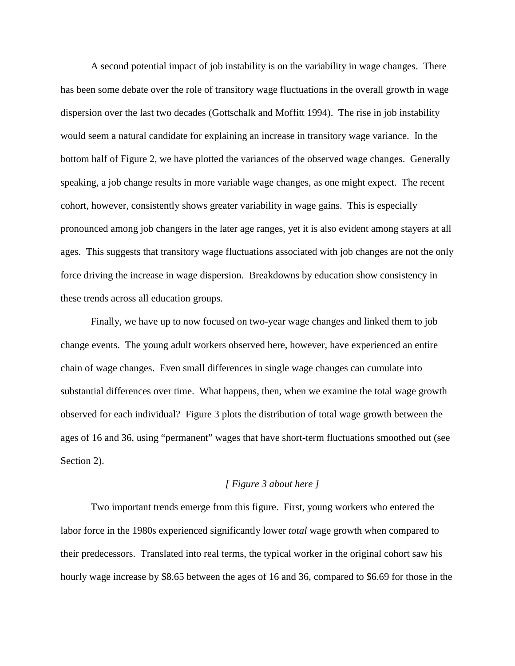A second potential impact of job instability is on the variability in wage changes. There has been some debate over the role of transitory wage fluctuations in the overall growth in wage dispersion over the last two decades (Gottschalk and Moffitt 1994). The rise in job instability would seem a natural candidate for explaining an increase in transitory wage variance. In the bottom half of Figure 2, we have plotted the variances of the observed wage changes. Generally speaking, a job change results in more variable wage changes, as one might expect. The recent cohort, however, consistently shows greater variability in wage gains. This is especially pronounced among job changers in the later age ranges, yet it is also evident among stayers at all ages. This suggests that transitory wage fluctuations associated with job changes are not the only force driving the increase in wage dispersion. Breakdowns by education show consistency in these trends across all education groups.

Finally, we have up to now focused on two-year wage changes and linked them to job change events. The young adult workers observed here, however, have experienced an entire chain of wage changes. Even small differences in single wage changes can cumulate into substantial differences over time. What happens, then, when we examine the total wage growth observed for each individual? Figure 3 plots the distribution of total wage growth between the ages of 16 and 36, using "permanent" wages that have short-term fluctuations smoothed out (see Section 2).

## *[ Figure 3 about here ]*

Two important trends emerge from this figure. First, young workers who entered the labor force in the 1980s experienced significantly lower *total* wage growth when compared to their predecessors. Translated into real terms, the typical worker in the original cohort saw his hourly wage increase by \$8.65 between the ages of 16 and 36, compared to \$6.69 for those in the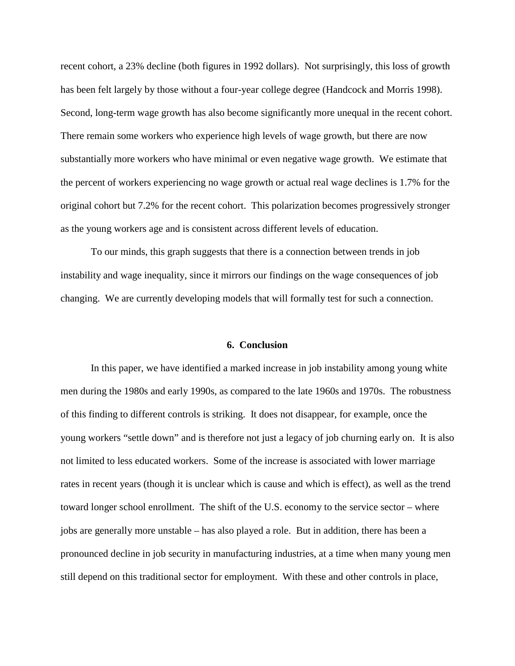recent cohort, a 23% decline (both figures in 1992 dollars). Not surprisingly, this loss of growth has been felt largely by those without a four-year college degree (Handcock and Morris 1998). Second, long-term wage growth has also become significantly more unequal in the recent cohort. There remain some workers who experience high levels of wage growth, but there are now substantially more workers who have minimal or even negative wage growth. We estimate that the percent of workers experiencing no wage growth or actual real wage declines is 1.7% for the original cohort but 7.2% for the recent cohort. This polarization becomes progressively stronger as the young workers age and is consistent across different levels of education.

To our minds, this graph suggests that there is a connection between trends in job instability and wage inequality, since it mirrors our findings on the wage consequences of job changing. We are currently developing models that will formally test for such a connection.

#### **6. Conclusion**

In this paper, we have identified a marked increase in job instability among young white men during the 1980s and early 1990s, as compared to the late 1960s and 1970s. The robustness of this finding to different controls is striking. It does not disappear, for example, once the young workers "settle down" and is therefore not just a legacy of job churning early on. It is also not limited to less educated workers. Some of the increase is associated with lower marriage rates in recent years (though it is unclear which is cause and which is effect), as well as the trend toward longer school enrollment. The shift of the U.S. economy to the service sector – where jobs are generally more unstable – has also played a role. But in addition, there has been a pronounced decline in job security in manufacturing industries, at a time when many young men still depend on this traditional sector for employment. With these and other controls in place,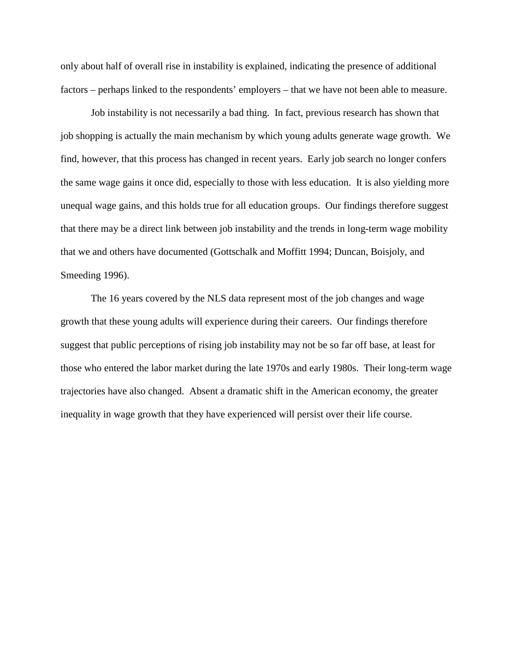only about half of overall rise in instability is explained, indicating the presence of additional factors – perhaps linked to the respondents' employers – that we have not been able to measure.

Job instability is not necessarily a bad thing. In fact, previous research has shown that job shopping is actually the main mechanism by which young adults generate wage growth. We find, however, that this process has changed in recent years. Early job search no longer confers the same wage gains it once did, especially to those with less education. It is also yielding more unequal wage gains, and this holds true for all education groups. Our findings therefore suggest that there may be a direct link between job instability and the trends in long-term wage mobility that we and others have documented (Gottschalk and Moffitt 1994; Duncan, Boisjoly, and Smeeding 1996).

The 16 years covered by the NLS data represent most of the job changes and wage growth that these young adults will experience during their careers. Our findings therefore suggest that public perceptions of rising job instability may not be so far off base, at least for those who entered the labor market during the late 1970s and early 1980s. Their long-term wage trajectories have also changed. Absent a dramatic shift in the American economy, the greater inequality in wage growth that they have experienced will persist over their life course.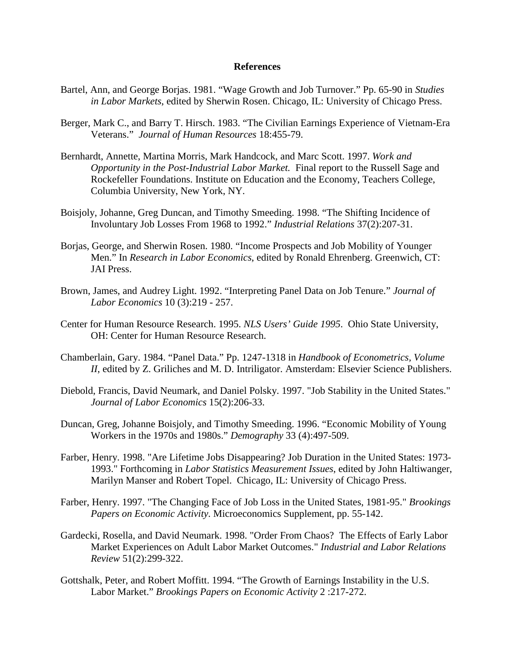#### **References**

- Bartel, Ann, and George Borjas. 1981. "Wage Growth and Job Turnover." Pp. 65-90 in *Studies in Labor Markets*, edited by Sherwin Rosen. Chicago, IL: University of Chicago Press.
- Berger, Mark C., and Barry T. Hirsch. 1983. "The Civilian Earnings Experience of Vietnam-Era Veterans." *Journal of Human Resources* 18:455-79.
- Bernhardt, Annette, Martina Morris, Mark Handcock, and Marc Scott. 1997. *Work and Opportunity in the Post-Industrial Labor Market.* Final report to the Russell Sage and Rockefeller Foundations. Institute on Education and the Economy, Teachers College, Columbia University, New York, NY.
- Boisjoly, Johanne, Greg Duncan, and Timothy Smeeding. 1998. "The Shifting Incidence of Involuntary Job Losses From 1968 to 1992." *Industrial Relations* 37(2):207-31.
- Borjas, George, and Sherwin Rosen. 1980. "Income Prospects and Job Mobility of Younger Men." In *Research in Labor Economics*, edited by Ronald Ehrenberg. Greenwich, CT: JAI Press.
- Brown, James, and Audrey Light. 1992. "Interpreting Panel Data on Job Tenure." *Journal of Labor Economics* 10 (3):219 - 257.
- Center for Human Resource Research. 1995. *NLS Users' Guide 1995*. Ohio State University, OH: Center for Human Resource Research.
- Chamberlain, Gary. 1984. "Panel Data." Pp. 1247-1318 in *Handbook of Econometrics, Volume II*, edited by Z. Griliches and M. D. Intriligator. Amsterdam: Elsevier Science Publishers.
- Diebold, Francis, David Neumark, and Daniel Polsky. 1997. "Job Stability in the United States." *Journal of Labor Economics* 15(2):206-33.
- Duncan, Greg, Johanne Boisjoly, and Timothy Smeeding. 1996. "Economic Mobility of Young Workers in the 1970s and 1980s." *Demography* 33 (4):497-509.
- Farber, Henry. 1998. "Are Lifetime Jobs Disappearing? Job Duration in the United States: 1973- 1993." Forthcoming in *Labor Statistics Measurement Issues*, edited by John Haltiwanger, Marilyn Manser and Robert Topel. Chicago, IL: University of Chicago Press.
- Farber, Henry. 1997. "The Changing Face of Job Loss in the United States, 1981-95." *Brookings Papers on Economic Activity*. Microeconomics Supplement, pp. 55-142.
- Gardecki, Rosella, and David Neumark. 1998. "Order From Chaos? The Effects of Early Labor Market Experiences on Adult Labor Market Outcomes." *Industrial and Labor Relations Review* 51(2):299-322.
- Gottshalk, Peter, and Robert Moffitt. 1994. "The Growth of Earnings Instability in the U.S. Labor Market." *Brookings Papers on Economic Activity* 2 :217-272.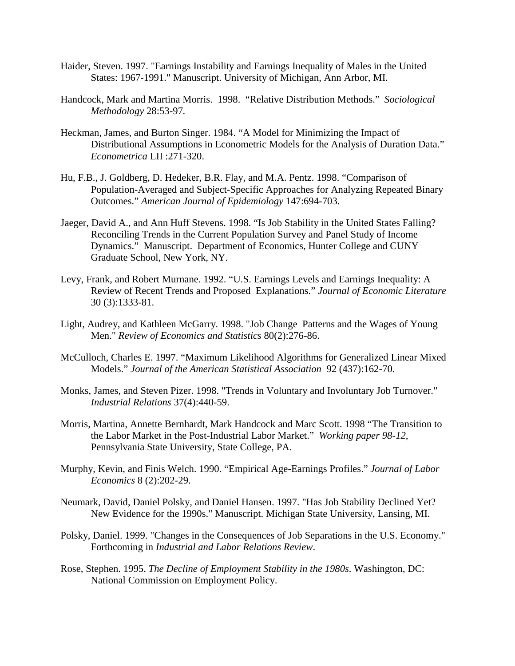- Haider, Steven. 1997. "Earnings Instability and Earnings Inequality of Males in the United States: 1967-1991." Manuscript. University of Michigan, Ann Arbor, MI.
- Handcock, Mark and Martina Morris. 1998. "Relative Distribution Methods." *Sociological Methodology* 28:53-97*.*
- Heckman, James, and Burton Singer. 1984. "A Model for Minimizing the Impact of Distributional Assumptions in Econometric Models for the Analysis of Duration Data." *Econometrica* LII :271-320.
- Hu, F.B., J. Goldberg, D. Hedeker, B.R. Flay, and M.A. Pentz. 1998. "Comparison of Population-Averaged and Subject-Specific Approaches for Analyzing Repeated Binary Outcomes." *American Journal of Epidemiology* 147:694-703.
- Jaeger, David A., and Ann Huff Stevens. 1998. "Is Job Stability in the United States Falling? Reconciling Trends in the Current Population Survey and Panel Study of Income Dynamics." Manuscript. Department of Economics, Hunter College and CUNY Graduate School, New York, NY.
- Levy, Frank, and Robert Murnane. 1992. "U.S. Earnings Levels and Earnings Inequality: A Review of Recent Trends and Proposed Explanations." *Journal of Economic Literature* 30 (3):1333-81.
- Light, Audrey, and Kathleen McGarry. 1998. "Job Change Patterns and the Wages of Young Men." *Review of Economics and Statistics* 80(2):276-86.
- McCulloch, Charles E. 1997. "Maximum Likelihood Algorithms for Generalized Linear Mixed Models." *Journal of the American Statistical Association* 92 (437):162-70.
- Monks, James, and Steven Pizer. 1998. "Trends in Voluntary and Involuntary Job Turnover." *Industrial Relations* 37(4):440-59.
- Morris, Martina, Annette Bernhardt, Mark Handcock and Marc Scott. 1998 "The Transition to the Labor Market in the Post-Industrial Labor Market." *Working paper 98-12*, Pennsylvania State University, State College, PA.
- Murphy, Kevin, and Finis Welch. 1990. "Empirical Age-Earnings Profiles." *Journal of Labor Economics* 8 (2):202-29.
- Neumark, David, Daniel Polsky, and Daniel Hansen. 1997. "Has Job Stability Declined Yet? New Evidence for the 1990s." Manuscript. Michigan State University, Lansing, MI.
- Polsky, Daniel. 1999. "Changes in the Consequences of Job Separations in the U.S. Economy." Forthcoming in *Industrial and Labor Relations Review*.
- Rose, Stephen. 1995. *The Decline of Employment Stability in the 1980s*. Washington, DC: National Commission on Employment Policy.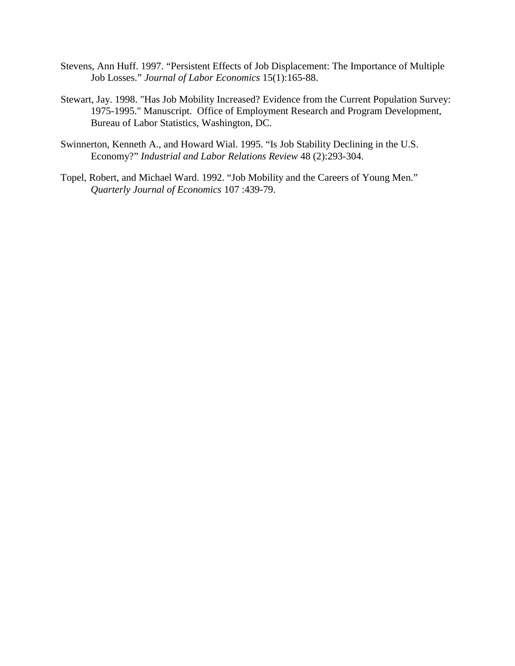- Stevens, Ann Huff. 1997. "Persistent Effects of Job Displacement: The Importance of Multiple Job Losses." *Journal of Labor Economics* 15(1):165-88.
- Stewart, Jay. 1998. "Has Job Mobility Increased? Evidence from the Current Population Survey: 1975-1995." Manuscript. Office of Employment Research and Program Development, Bureau of Labor Statistics, Washington, DC.
- Swinnerton, Kenneth A., and Howard Wial. 1995. "Is Job Stability Declining in the U.S. Economy?" *Industrial and Labor Relations Review* 48 (2):293-304.
- Topel, Robert, and Michael Ward. 1992. "Job Mobility and the Careers of Young Men." *Quarterly Journal of Economics* 107 :439-79.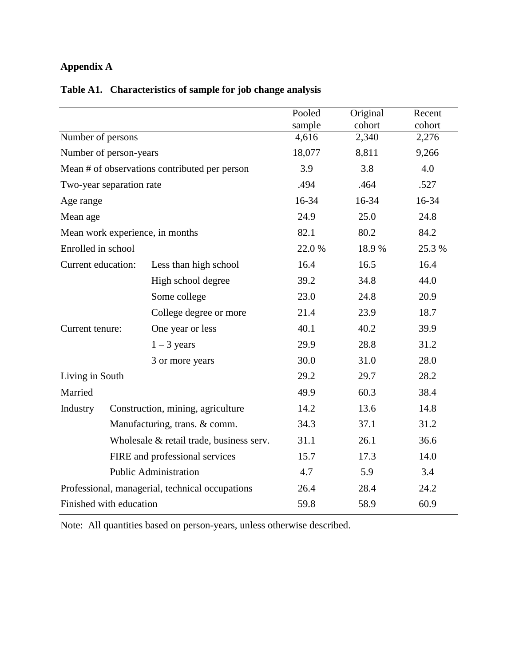# **Appendix A**

|                    |                          |                                                 | Pooled<br>sample | Original<br>cohort | Recent<br>cohort |  |  |
|--------------------|--------------------------|-------------------------------------------------|------------------|--------------------|------------------|--|--|
| Number of persons  |                          |                                                 | 4,616            | 2,340              | 2,276            |  |  |
|                    | Number of person-years   |                                                 | 18,077           | 8,811              |                  |  |  |
|                    |                          | Mean # of observations contributed per person   | 3.9              | 3.8                |                  |  |  |
|                    | Two-year separation rate |                                                 | .494             | .464               |                  |  |  |
| Age range          |                          |                                                 | 16-34            | 16-34              |                  |  |  |
| Mean age           |                          |                                                 | 24.9             | 24.8               |                  |  |  |
|                    |                          | Mean work experience, in months                 | 82.1             | 84.2               |                  |  |  |
| Enrolled in school |                          |                                                 | 22.0%            | 18.9%              | 25.3 %           |  |  |
| Current education: |                          | Less than high school                           | 16.4             | 16.5               | 16.4             |  |  |
|                    |                          | High school degree                              | 39.2             | 34.8               | 44.0             |  |  |
|                    |                          | Some college                                    | 23.0             | 24.8               | 20.9             |  |  |
|                    |                          | College degree or more                          | 21.4             | 23.9               | 18.7             |  |  |
| Current tenure:    |                          | One year or less                                | 40.1             | 40.2               | 39.9             |  |  |
|                    |                          | $1 - 3$ years                                   | 29.9             | 28.8               | 31.2             |  |  |
|                    |                          | 3 or more years                                 | 30.0             | 31.0               | 28.0             |  |  |
| Living in South    |                          |                                                 | 29.2             | 29.7               | 28.2             |  |  |
| Married            |                          |                                                 | 49.9             | 60.3               | 38.4             |  |  |
| Industry           |                          | Construction, mining, agriculture               | 14.2             | 13.6               | 14.8             |  |  |
|                    |                          | Manufacturing, trans. & comm.                   | 34.3             | 37.1               | 31.2             |  |  |
|                    |                          | Wholesale & retail trade, business serv.        | 31.1             | 26.1               | 36.6             |  |  |
|                    |                          | FIRE and professional services                  | 15.7             | 17.3               | 14.0             |  |  |
|                    |                          | <b>Public Administration</b>                    | 4.7              | 5.9                | 3.4              |  |  |
|                    |                          | Professional, managerial, technical occupations | 26.4             | 28.4               | 24.2             |  |  |
|                    | Finished with education  |                                                 | 59.8             | 60.9               |                  |  |  |

# **Table A1. Characteristics of sample for job change analysis**

Note: All quantities based on person-years, unless otherwise described.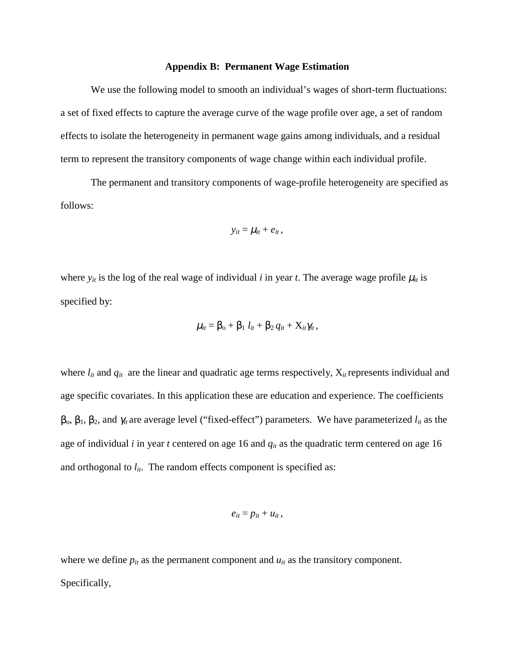#### **Appendix B: Permanent Wage Estimation**

We use the following model to smooth an individual's wages of short-term fluctuations: a set of fixed effects to capture the average curve of the wage profile over age, a set of random effects to isolate the heterogeneity in permanent wage gains among individuals, and a residual term to represent the transitory components of wage change within each individual profile.

The permanent and transitory components of wage-profile heterogeneity are specified as follows:

$$
y_{it} = \mu_{it} + e_{it},
$$

where  $y_{it}$  is the log of the real wage of individual *i* in year *t*. The average wage profile  $\mu_{it}$  is specified by:

$$
\mu_{it} = \beta_{\rm o} + \beta_1 l_{it} + \beta_2 q_{it} + X_{it} \gamma_{it},
$$

where  $l_{it}$  and  $q_{it}$  are the linear and quadratic age terms respectively,  $X_{it}$  represents individual and age specific covariates. In this application these are education and experience. The coefficients  $β<sub>0</sub>, β<sub>1</sub>, β<sub>2</sub>,$  and  $γ<sub>it</sub>$  are average level ("fixed-effect") parameters. We have parameterized  $l<sub>it</sub>$  as the age of individual *i* in year *t* centered on age 16 and *qit* as the quadratic term centered on age 16 and orthogonal to  $l_{it}$ . The random effects component is specified as:

$$
e_{it}=p_{it}+u_{it},
$$

where we define  $p_{it}$  as the permanent component and  $u_{it}$  as the transitory component. Specifically,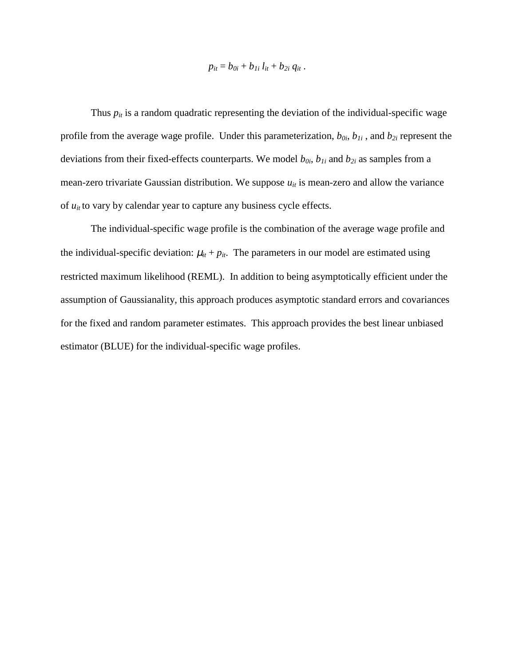$$
p_{it} = b_{0i} + b_{1i} l_{it} + b_{2i} q_{it}.
$$

Thus  $p_{it}$  is a random quadratic representing the deviation of the individual-specific wage profile from the average wage profile. Under this parameterization,  $b_{0i}$ ,  $b_{1i}$ , and  $b_{2i}$  represent the deviations from their fixed-effects counterparts. We model  $b_{0i}$ ,  $b_{1i}$  and  $b_{2i}$  as samples from a mean-zero trivariate Gaussian distribution. We suppose  $u_{it}$  is mean-zero and allow the variance of  $u_{it}$  to vary by calendar year to capture any business cycle effects.

The individual-specific wage profile is the combination of the average wage profile and the individual-specific deviation:  $\mu_{it} + p_{it}$ . The parameters in our model are estimated using restricted maximum likelihood (REML). In addition to being asymptotically efficient under the assumption of Gaussianality, this approach produces asymptotic standard errors and covariances for the fixed and random parameter estimates. This approach provides the best linear unbiased estimator (BLUE) for the individual-specific wage profiles.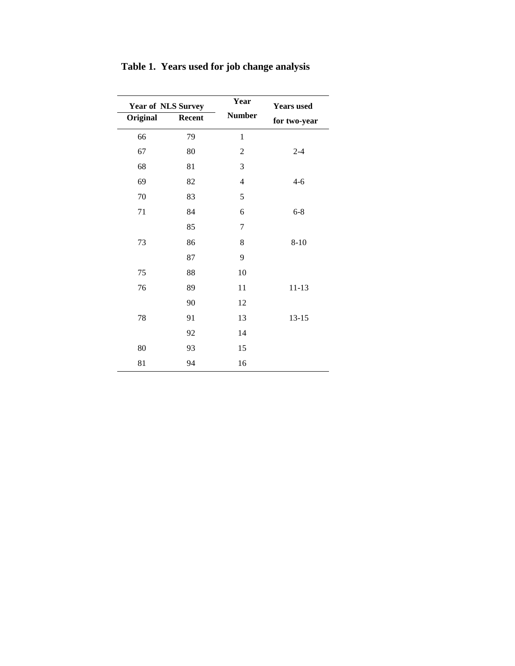| <b>Year of NLS Survey</b> |        | Year             | <b>Years</b> used |
|---------------------------|--------|------------------|-------------------|
| Original                  | Recent | <b>Number</b>    | for two-year      |
| 66                        | 79     | 1                |                   |
| 67                        | 80     | $\overline{c}$   | $2 - 4$           |
| 68                        | 81     | 3                |                   |
| 69                        | 82     | $\overline{4}$   | $4 - 6$           |
| 70                        | 83     | 5                |                   |
| 71                        | 84     | $\epsilon$       | $6 - 8$           |
|                           | 85     | $\boldsymbol{7}$ |                   |
| 73                        | 86     | 8                | $8 - 10$          |
|                           | 87     | 9                |                   |
| 75                        | 88     | 10               |                   |
| 76                        | 89     | 11               | $11 - 13$         |
|                           | 90     | 12               |                   |
| 78                        | 91     | 13               | $13 - 15$         |
|                           | 92     | 14               |                   |
| 80                        | 93     | 15               |                   |
| 81                        | 94     | 16               |                   |

**Table 1. Years used for job change analysis**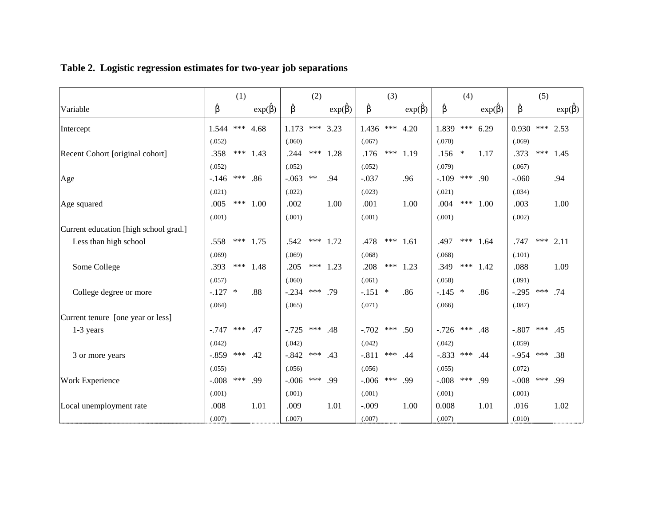|                                       |           | (1) |                     |               | (2)   |                     |           | (3) |                                |           | (4)    |                                |             | (5) |                    |
|---------------------------------------|-----------|-----|---------------------|---------------|-------|---------------------|-----------|-----|--------------------------------|-----------|--------|--------------------------------|-------------|-----|--------------------|
| Variable                              | β         |     | $\exp(\hat{\beta})$ | $\hat{\beta}$ |       | $\exp(\hat{\beta})$ | β         |     | $\exp(\overline{\hat{\beta}})$ | β         |        | $\exp(\overline{\hat{\beta}})$ | β           |     | $exp(\hat{\beta})$ |
| Intercept                             | 1.544     | *** | 4.68                | 1.173         | ***   | 3.23                | 1.436     | *** | 4.20                           | 1.839     | ***    | 6.29                           | 0.930       | *** | 2.53               |
|                                       | (.052)    |     |                     | (.060)        |       |                     | (.067)    |     |                                | (.070)    |        |                                | (.069)      |     |                    |
| Recent Cohort [original cohort]       | .358      |     | *** 1.43            | .244          | ***   | 1.28                | .176      | *** | 1.19                           | .156      | $\ast$ | 1.17                           | .373        | *** | 1.45               |
|                                       | (.052)    |     |                     | (.052)        |       |                     | (.052)    |     |                                | (.079)    |        |                                | (.067)      |     |                    |
| Age                                   | $-146$    | *** | .86                 | $-063$        | $***$ | .94                 | $-.037$   |     | .96                            | $-.109$   | ***    | .90                            | $-.060$     |     | .94                |
|                                       | (.021)    |     |                     | (.022)        |       |                     | (.023)    |     |                                | (.021)    |        |                                | (.034)      |     |                    |
| Age squared                           | .005      | *** | 1.00                | .002          |       | 1.00                | .001      |     | 1.00                           | .004      | ***    | 1.00                           | .003        |     | 1.00               |
|                                       | (.001)    |     |                     | (.001)        |       |                     | (.001)    |     |                                | (.001)    |        |                                | (.002)      |     |                    |
| Current education [high school grad.] |           |     |                     |               |       |                     |           |     |                                |           |        |                                |             |     |                    |
| Less than high school                 | .558      | *** | 1.75                | .542          | ***   | 1.72                | .478      | *** | 1.61                           | .497      | ***    | 1.64                           | .747        | *** | 2.11               |
|                                       | (.069)    |     |                     | (.069)        |       |                     | (.068)    |     |                                | (.068)    |        |                                | (.101)      |     |                    |
| Some College                          | .393      | *** | 1.48                | .205          | ***   | 1.23                | .208      | *** | 1.23                           | .349      | ***    | 1.42                           | .088        |     | 1.09               |
|                                       | (.057)    |     |                     | (.060)        |       |                     | (.061)    |     |                                | (.058)    |        |                                | (.091)      |     |                    |
| College degree or more                | $-.127$ * |     | .88                 | $-.234$       | ***   | .79                 | $-.151$ * |     | .86                            | $-.145$ * |        | .86                            | $-.295$ *** |     | .74                |
|                                       | (.064)    |     |                     | (.065)        |       |                     | (.071)    |     |                                | (.066)    |        |                                | (.087)      |     |                    |
| Current tenure [one year or less]     |           |     |                     |               |       |                     |           |     |                                |           |        |                                |             |     |                    |
| $1-3$ years                           | $-.747$   | *** | .47                 | $-.725$       | ***   | .48                 | $-.702$   | *** | .50                            | $-0.726$  | ***    | .48                            | $-.807$     | *** | .45                |
|                                       | (.042)    |     |                     | (.042)        |       |                     | (.042)    |     |                                | (.042)    |        |                                | (.059)      |     |                    |
| 3 or more years                       | $-.859$   | *** | .42                 | $-.842$       | ***   | .43                 | $-.811$   | *** | .44                            | $-.833$   | ***    | .44                            | $-0.954$    | *** | .38                |
|                                       | (.055)    |     |                     | (.056)        |       |                     | (.056)    |     |                                | (.055)    |        |                                | (.072)      |     |                    |
| Work Experience                       | $-.008$   | *** | .99                 | $-0.006$      | ***   | .99                 | $-.006$   | *** | .99                            | $-.008$   | ***    | .99                            | $-.008$     | *** | .99                |
|                                       | (.001)    |     |                     | (.001)        |       |                     | (.001)    |     |                                | (.001)    |        |                                | (.001)      |     |                    |
| Local unemployment rate               | .008      |     | 1.01                | .009          |       | 1.01                | $-.009$   |     | 1.00                           | 0.008     |        | 1.01                           | .016        |     | 1.02               |
|                                       | (.007)    |     |                     | (.007)        |       |                     | (.007)    |     |                                | (.007)    |        |                                | (.010)      |     |                    |

# **Table 2. Logistic regression estimates for two-year job separations**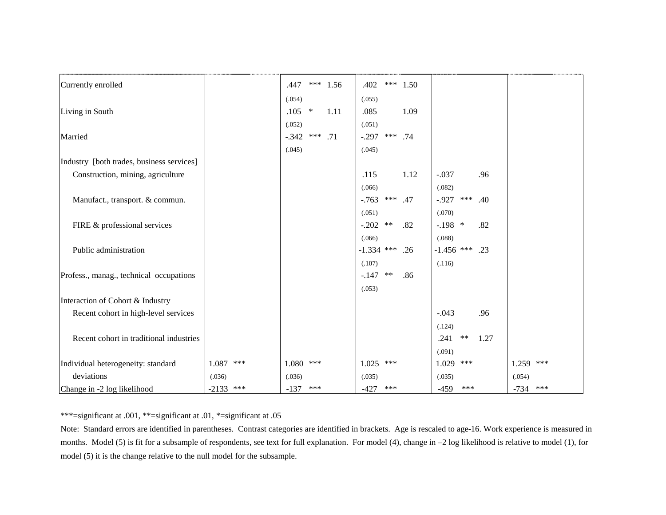| Currently enrolled                        |             | .447            |     | *** $1.56$ | .402         | *** | 1.50 |                  |       |      |             |     |
|-------------------------------------------|-------------|-----------------|-----|------------|--------------|-----|------|------------------|-------|------|-------------|-----|
|                                           |             | (.054)          |     |            | (.055)       |     |      |                  |       |      |             |     |
| Living in South                           |             | $.105$ *        |     | 1.11       | .085         |     | 1.09 |                  |       |      |             |     |
|                                           |             | (.052)          |     |            | (.051)       |     |      |                  |       |      |             |     |
| Married                                   |             | $-.342$ *** .71 |     |            | $-.297$      | *** | .74  |                  |       |      |             |     |
|                                           |             | (.045)          |     |            | (.045)       |     |      |                  |       |      |             |     |
| Industry [both trades, business services] |             |                 |     |            |              |     |      |                  |       |      |             |     |
| Construction, mining, agriculture         |             |                 |     |            | .115         |     | 1.12 | $-.037$          |       | .96  |             |     |
|                                           |             |                 |     |            | (.066)       |     |      | (.082)           |       |      |             |     |
| Manufact., transport. & commun.           |             |                 |     |            | $-763$       | *** | .47  | $-0.927$         | ***   | .40  |             |     |
|                                           |             |                 |     |            | (.051)       |     |      | (.070)           |       |      |             |     |
| FIRE & professional services              |             |                 |     |            | $-.202$ **   |     | .82  | $-.198$ *        |       | .82  |             |     |
|                                           |             |                 |     |            | (.066)       |     |      | (.088)           |       |      |             |     |
| Public administration                     |             |                 |     |            | $-1.334$ *** |     | .26  | $-1.456$ *** .23 |       |      |             |     |
|                                           |             |                 |     |            | (.107)       |     |      | (.116)           |       |      |             |     |
| Profess., manag., technical occupations   |             |                 |     |            | $-.147$      | **  | .86  |                  |       |      |             |     |
|                                           |             |                 |     |            | (.053)       |     |      |                  |       |      |             |     |
| Interaction of Cohort & Industry          |             |                 |     |            |              |     |      |                  |       |      |             |     |
| Recent cohort in high-level services      |             |                 |     |            |              |     |      | $-.043$          |       | .96  |             |     |
|                                           |             |                 |     |            |              |     |      | (.124)           |       |      |             |     |
| Recent cohort in traditional industries   |             |                 |     |            |              |     |      | .241             | $***$ | 1.27 |             |     |
|                                           |             |                 |     |            |              |     |      | (.091)           |       |      |             |     |
| Individual heterogeneity: standard        | $1.087$ *** | 1.080           | *** |            | 1.025        | *** |      | 1.029 ***        |       |      | $1.259$ *** |     |
| deviations                                | (.036)      | (.036)          |     |            | (.035)       |     |      | (.035)           |       |      | (.054)      |     |
| Change in -2 log likelihood               | $-2133$ *** | $-137$          | *** |            | $-427$       | *** |      | $-459$           | ***   |      | $-734$      | *** |

\*\*\*=significant at .001, \*\*=significant at .01, \*=significant at .05

Note: Standard errors are identified in parentheses. Contrast categories are identified in brackets. Age is rescaled to age-16. Work experience is measured in months. Model (5) is fit for a subsample of respondents, see text for full explanation. For model (4), change in –2 log likelihood is relative to model (1), for model (5) it is the change relative to the null model for the subsample.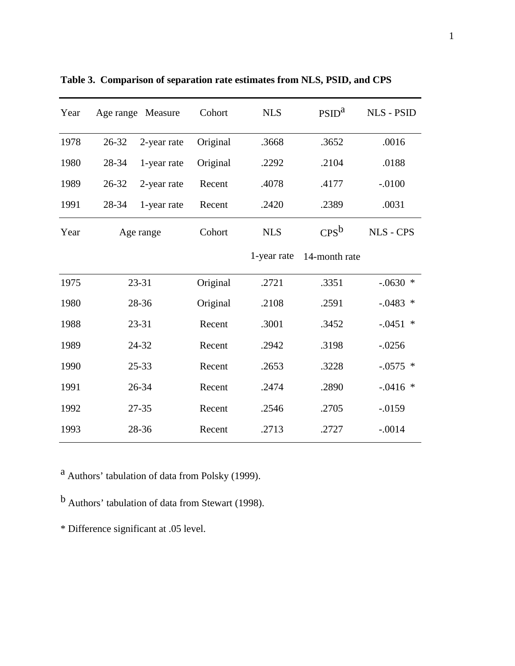| Year |       | Age range Measure | Cohort   | <b>NLS</b>  | PSID <sup>a</sup> | <b>NLS - PSID</b> |
|------|-------|-------------------|----------|-------------|-------------------|-------------------|
| 1978 | 26-32 | 2-year rate       | Original | .3668       | .3652             | .0016             |
| 1980 | 28-34 | 1-year rate       | Original | .2292       | .2104             | .0188             |
| 1989 | 26-32 | 2-year rate       | Recent   | .4078       | .4177             | $-.0100$          |
| 1991 | 28-34 | 1-year rate       | Recent   | .2420       | .2389             | .0031             |
| Year |       | Age range         | Cohort   | <b>NLS</b>  | $CPS^b$           | <b>NLS - CPS</b>  |
|      |       |                   |          | 1-year rate | 14-month rate     |                   |
| 1975 |       | 23-31             | Original | .2721       | .3351             | $-.0630$ *        |
| 1980 |       | 28-36             | Original | .2108       | .2591             | $-.0483$ *        |
| 1988 |       | 23-31             | Recent   | .3001       | .3452             | $-.0451$ *        |
| 1989 |       | 24-32             | Recent   | .2942       | .3198             | $-.0256$          |
| 1990 |       | $25 - 33$         | Recent   | .2653       | .3228             | $-0.0575$ *       |
| 1991 |       | 26-34             | Recent   | .2474       | .2890             | $-.0416$ *        |
| 1992 |       | 27-35             | Recent   | .2546       | .2705             | $-.0159$          |
| 1993 |       | 28-36             | Recent   | .2713       | .2727             | $-.0014$          |

**Table 3. Comparison of separation rate estimates from NLS, PSID, and CPS**

a Authors' tabulation of data from Polsky (1999).

b Authors' tabulation of data from Stewart (1998).

\* Difference significant at .05 level.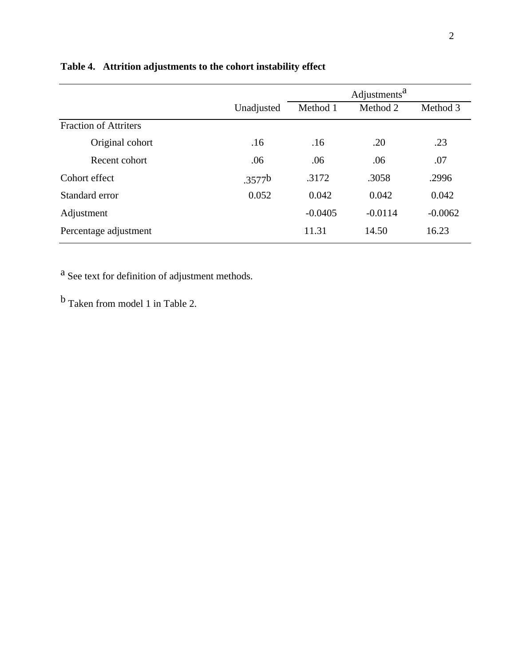|                              |                    |           | Adjustments <sup>a</sup> |           |
|------------------------------|--------------------|-----------|--------------------------|-----------|
|                              | Unadjusted         | Method 1  | Method 2                 | Method 3  |
| <b>Fraction of Attriters</b> |                    |           |                          |           |
| Original cohort              | .16                | .16       | .20                      | .23       |
| Recent cohort                | .06                | .06       | .06                      | .07       |
| Cohort effect                | .3577 <sup>b</sup> | .3172     | .3058                    | .2996     |
| Standard error               | 0.052              | 0.042     | 0.042                    | 0.042     |
| Adjustment                   |                    | $-0.0405$ | $-0.0114$                | $-0.0062$ |
| Percentage adjustment        |                    | 11.31     | 14.50                    | 16.23     |

# **Table 4. Attrition adjustments to the cohort instability effect**

a See text for definition of adjustment methods.

b Taken from model 1 in Table 2.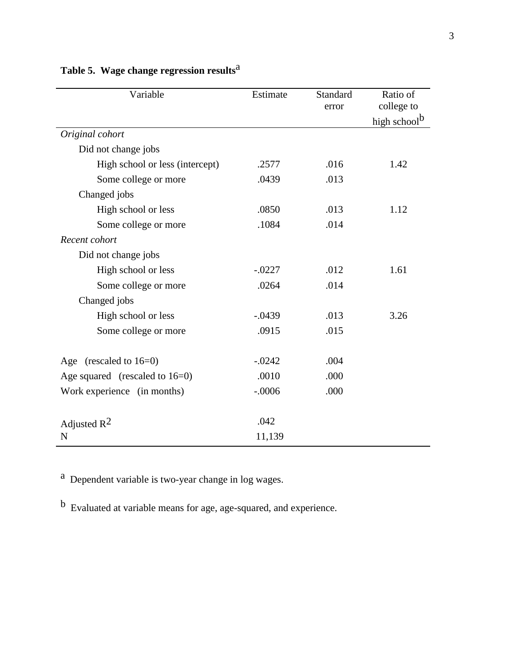| Variable                          | Estimate | Standard<br>error | Ratio of<br>college to   |
|-----------------------------------|----------|-------------------|--------------------------|
|                                   |          |                   | high school <sup>b</sup> |
| Original cohort                   |          |                   |                          |
| Did not change jobs               |          |                   |                          |
| High school or less (intercept)   | .2577    | .016              | 1.42                     |
| Some college or more              | .0439    | .013              |                          |
| Changed jobs                      |          |                   |                          |
| High school or less               | .0850    | .013              | 1.12                     |
| Some college or more              | .1084    | .014              |                          |
| Recent cohort                     |          |                   |                          |
| Did not change jobs               |          |                   |                          |
| High school or less               | $-.0227$ | .012              | 1.61                     |
| Some college or more              | .0264    | .014              |                          |
| Changed jobs                      |          |                   |                          |
| High school or less               | $-.0439$ | .013              | 3.26                     |
| Some college or more              | .0915    | .015              |                          |
| Age (rescaled to $16=0$ )         | $-.0242$ | .004              |                          |
| Age squared (rescaled to $16=0$ ) | .0010    | .000              |                          |
| Work experience (in months)       | $-.0006$ | .000              |                          |
| Adjusted $R^2$                    | .042     |                   |                          |
| N                                 | 11,139   |                   |                          |

# **Table 5. Wage change regression results**a

a Dependent variable is two-year change in log wages.

b Evaluated at variable means for age, age-squared, and experience.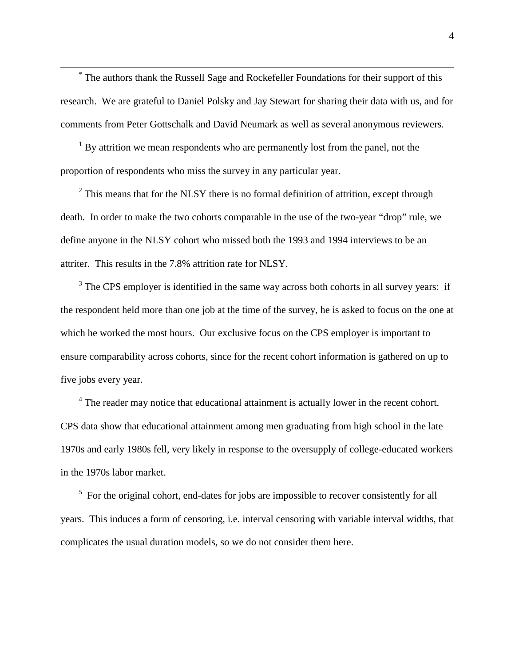\* The authors thank the Russell Sage and Rockefeller Foundations for their support of this research. We are grateful to Daniel Polsky and Jay Stewart for sharing their data with us, and for comments from Peter Gottschalk and David Neumark as well as several anonymous reviewers.

<sup>1</sup> By attrition we mean respondents who are permanently lost from the panel, not the proportion of respondents who miss the survey in any particular year.

 $2$  This means that for the NLSY there is no formal definition of attrition, except through death. In order to make the two cohorts comparable in the use of the two-year "drop" rule, we define anyone in the NLSY cohort who missed both the 1993 and 1994 interviews to be an attriter. This results in the 7.8% attrition rate for NLSY.

 $3$  The CPS employer is identified in the same way across both cohorts in all survey years: if the respondent held more than one job at the time of the survey, he is asked to focus on the one at which he worked the most hours. Our exclusive focus on the CPS employer is important to ensure comparability across cohorts, since for the recent cohort information is gathered on up to five jobs every year.

 $4$  The reader may notice that educational attainment is actually lower in the recent cohort. CPS data show that educational attainment among men graduating from high school in the late 1970s and early 1980s fell, very likely in response to the oversupply of college-educated workers in the 1970s labor market.

 $5$  For the original cohort, end-dates for jobs are impossible to recover consistently for all years. This induces a form of censoring, i.e. interval censoring with variable interval widths, that complicates the usual duration models, so we do not consider them here.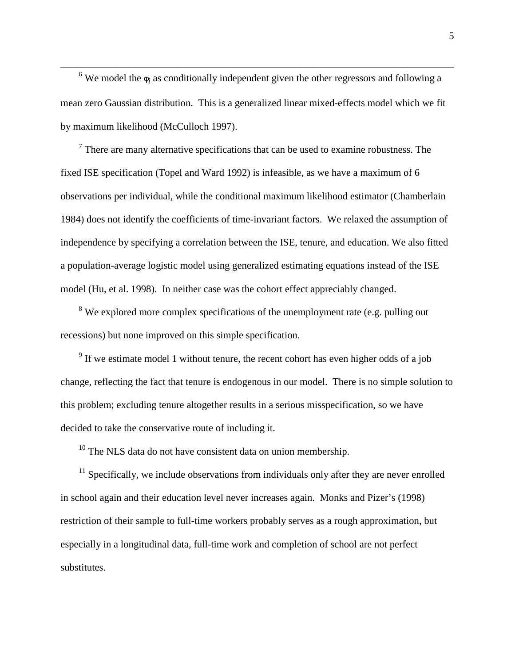6 We model the  $\phi_i$  as conditionally independent given the other regressors and following a mean zero Gaussian distribution. This is a generalized linear mixed-effects model which we fit by maximum likelihood (McCulloch 1997).

 $<sup>7</sup>$  There are many alternative specifications that can be used to examine robustness. The</sup> fixed ISE specification (Topel and Ward 1992) is infeasible, as we have a maximum of 6 observations per individual, while the conditional maximum likelihood estimator (Chamberlain 1984) does not identify the coefficients of time-invariant factors. We relaxed the assumption of independence by specifying a correlation between the ISE, tenure, and education. We also fitted a population-average logistic model using generalized estimating equations instead of the ISE model (Hu, et al. 1998). In neither case was the cohort effect appreciably changed.

<sup>8</sup> We explored more complex specifications of the unemployment rate (e.g. pulling out recessions) but none improved on this simple specification.

 $9<sup>9</sup>$  If we estimate model 1 without tenure, the recent cohort has even higher odds of a job change, reflecting the fact that tenure is endogenous in our model. There is no simple solution to this problem; excluding tenure altogether results in a serious misspecification, so we have decided to take the conservative route of including it.

 $10$  The NLS data do not have consistent data on union membership.

 $11$  Specifically, we include observations from individuals only after they are never enrolled in school again and their education level never increases again. Monks and Pizer's (1998) restriction of their sample to full-time workers probably serves as a rough approximation, but especially in a longitudinal data, full-time work and completion of school are not perfect substitutes.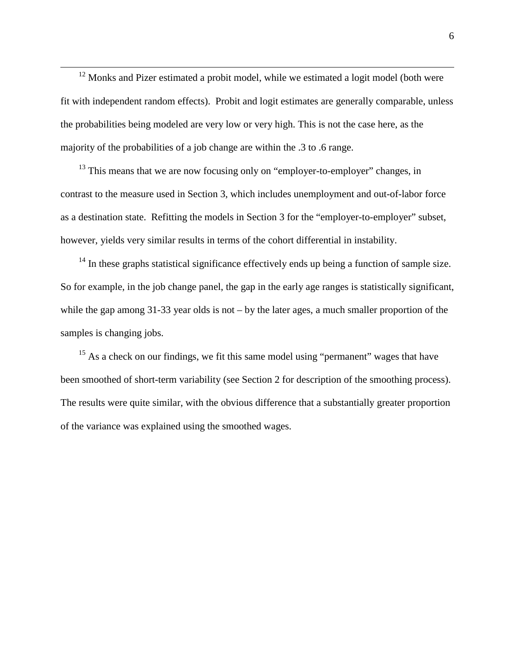<sup>12</sup> Monks and Pizer estimated a probit model, while we estimated a logit model (both were fit with independent random effects). Probit and logit estimates are generally comparable, unless the probabilities being modeled are very low or very high. This is not the case here, as the majority of the probabilities of a job change are within the .3 to .6 range.

 $13$  This means that we are now focusing only on "employer-to-employer" changes, in contrast to the measure used in Section 3, which includes unemployment and out-of-labor force as a destination state. Refitting the models in Section 3 for the "employer-to-employer" subset, however, yields very similar results in terms of the cohort differential in instability.

 $14$  In these graphs statistical significance effectively ends up being a function of sample size. So for example, in the job change panel, the gap in the early age ranges is statistically significant, while the gap among 31-33 year olds is not – by the later ages, a much smaller proportion of the samples is changing jobs.

 $15$  As a check on our findings, we fit this same model using "permanent" wages that have been smoothed of short-term variability (see Section 2 for description of the smoothing process). The results were quite similar, with the obvious difference that a substantially greater proportion of the variance was explained using the smoothed wages.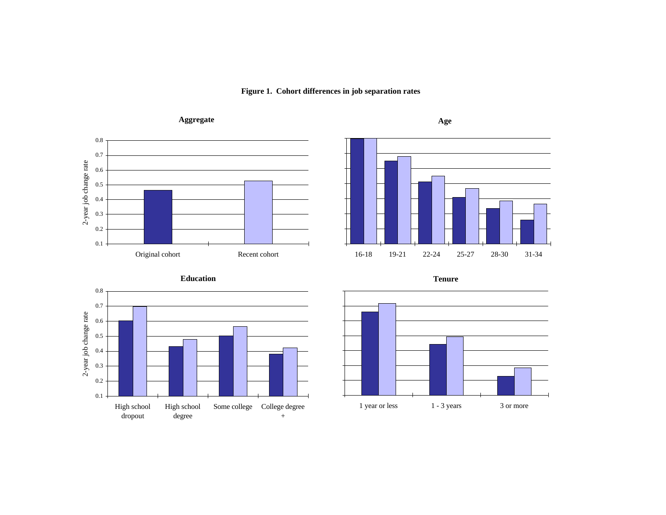





**Education**



**Tenure**

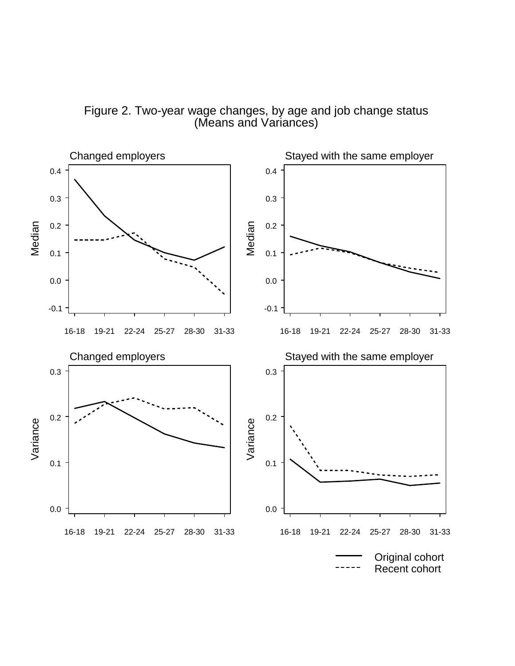